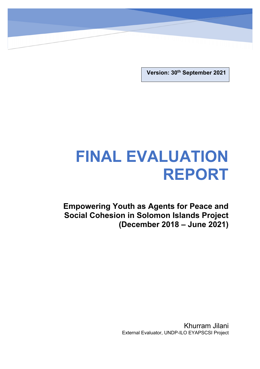**Version: 30th September 2021**

# **FINAL EVALUATION REPORT**

**Empowering Youth as Agents for Peace and Social Cohesion in Solomon Islands Project (December 2018 – June 2021)**

> Khurram Jilani External Evaluator, UNDP-ILO EYAPSCSI Project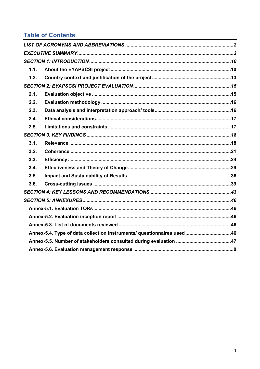## **Table of Contents**

| 1.1. |                                                                        |  |
|------|------------------------------------------------------------------------|--|
| 1.2. |                                                                        |  |
|      |                                                                        |  |
| 2.1. |                                                                        |  |
| 2.2. |                                                                        |  |
| 2.3. |                                                                        |  |
| 2.4. |                                                                        |  |
| 2.5. |                                                                        |  |
|      |                                                                        |  |
| 3.1. |                                                                        |  |
| 3.2. |                                                                        |  |
| 3.3. |                                                                        |  |
| 3.4. |                                                                        |  |
| 3.5. |                                                                        |  |
| 3.6. |                                                                        |  |
|      |                                                                        |  |
|      |                                                                        |  |
|      |                                                                        |  |
|      |                                                                        |  |
|      |                                                                        |  |
|      | Annex-5.4. Type of data collection instruments/ questionnaires used 46 |  |
|      |                                                                        |  |
|      |                                                                        |  |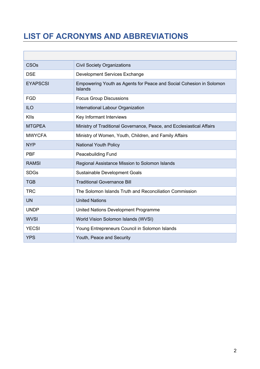## **LIST OF ACRONYMS AND ABBREVIATIONS**

| CSO <sub>s</sub> | <b>Civil Society Organizations</b>                                             |
|------------------|--------------------------------------------------------------------------------|
| <b>DSE</b>       | Development Services Exchange                                                  |
| <b>EYAPSCSI</b>  | Empowering Youth as Agents for Peace and Social Cohesion in Solomon<br>Islands |
| <b>FGD</b>       | <b>Focus Group Discussions</b>                                                 |
| <b>ILO</b>       | International Labour Organization                                              |
| <b>KIIs</b>      | Key Informant Interviews                                                       |
| <b>MTGPEA</b>    | Ministry of Traditional Governance, Peace, and Ecclesiastical Affairs          |
| <b>MWYCFA</b>    | Ministry of Women, Youth, Children, and Family Affairs                         |
| <b>NYP</b>       | <b>National Youth Policy</b>                                                   |
| <b>PBF</b>       | <b>Peacebuilding Fund</b>                                                      |
| <b>RAMSI</b>     | Regional Assistance Mission to Solomon Islands                                 |
| <b>SDGs</b>      | Sustainable Development Goals                                                  |
| <b>TGB</b>       | <b>Traditional Governance Bill</b>                                             |
| <b>TRC</b>       | The Solomon Islands Truth and Reconciliation Commission                        |
| <b>UN</b>        | <b>United Nations</b>                                                          |
| <b>UNDP</b>      | United Nations Development Programme                                           |
| <b>WVSI</b>      | World Vision Solomon Islands (WVSI)                                            |
| <b>YECSI</b>     | Young Entrepreneurs Council in Solomon Islands                                 |
| <b>YPS</b>       | Youth, Peace and Security                                                      |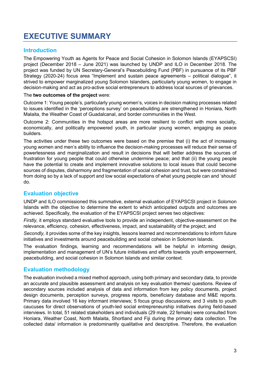## **EXECUTIVE SUMMARY**

## **Introduction**

The Empowering Youth as Agents for Peace and Social Cohesion in Solomon Islands (EYAPSCSI) project (December 2018 – June 2021) was launched by UNDP and ILO in December 2018. The project was funded by UN Secretary-General's Peacebuilding Fund (PBF) in pursuance of its PBF Strategy (2020-24) focus area "Implement and sustain peace agreements – political dialogue", it strived to empower marginalized young Solomon Islanders, particularly young women, to engage in decision-making and act as pro-active social entrepreneurs to address local sources of grievances.

#### The **two outcomes of the project** were:

Outcome 1: Young people's, particularly young women's, voices in decision making processes related to issues identified in the 'perceptions survey' on peacebuilding are strengthened in Honiara, North Malaita, the Weather Coast of Guadalcanal, and border communities in the West.

Outcome 2: Communities in the hotspot areas are more resilient to conflict with more socially, economically, and politically empowered youth, in particular young women, engaging as peace builders.

The activities under these two outcomes were based on the premise that (i) the act of increasing young women and men's ability to influence the decision-making processes will reduce their sense of powerlessness and marginalization and result in decisions that will better address the sources of frustration for young people that could otherwise undermine peace; and that (ii) the young people have the potential to create and implement innovative solutions to local issues that could become sources of disputes, disharmony and fragmentation of social cohesion and trust, but were constrained from doing so by a lack of support and low social expectations of what young people can and 'should' do.

## **Evaluation objective**

UNDP and ILO commissioned this summative, external evaluation of EYAPSCSI project in Solomon Islands with the objective to determine the extent to which anticipated outputs and outcomes are achieved. Specifically, the evaluation of the EYAPSCSI project serves two objectives:

*Firstly,* it employs standard evaluative tools to provide an independent, objective-assessment on the relevance, efficiency, cohesion, effectiveness, impact, and sustainability of the project; and

*Secondly,* it provides some of the key insights, lessons learned and recommendations to inform future initiatives and investments around peacebuilding and social cohesion in Solomon Islands.

The evaluation findings, learning and recommendations will be helpful in informing design, implementation and management of UN's future initiatives and efforts towards youth empowerment, peacebuilding, and social cohesion in Solomon Islands and similar context.

### **Evaluation methodology**

The evaluation involved a mixed method approach, using both primary and secondary data, to provide an accurate and plausible assessment and analysis on key evaluation themes/ questions. Review of secondary sources included analysis of data and information from key policy documents, project design documents, perception surveys, progress reports, beneficiary database and M&E reports. Primary data involved 16 key informant interviews; 5 focus group discussions; and 3 visits to youth caucuses for direct observations of youth-led social entrepreneurship initiatives during field-based interviews. In total, 51 related stakeholders and individuals (29 male, 22 female) were consulted from Honiara, Weather Coast, North Malaita, Shortland and Fiji during the primary data collection. The collected data/ information is predominantly qualitative and descriptive. Therefore, the evaluation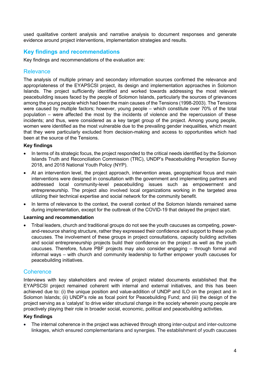used qualitative content analysis and narrative analysis to document responses and generate evidence around project interventions, implementation strategies and results.

## **Key findings and recommendations**

Key findings and recommendations of the evaluation are:

#### **Relevance**

The analysis of multiple primary and secondary information sources confirmed the relevance and appropriateness of the EYAPSCSI project, its design and implementation approaches in Solomon Islands. The project sufficiently identified and worked towards addressing the most relevant peacebuilding issues faced by the people of Solomon Islands, particularly the sources of grievances among the young people which had been the main causes of the Tensions (1998-2003). The Tensions were caused by multiple factors; however, young people – which constitute over 70% of the total population – were affected the most by the incidents of violence and the repercussion of these incidents; and thus, were considered as a key target group of the project. Among young people, women were identified as the most vulnerable due to the prevailing gender inequalities, which meant that they were particularly excluded from decision-making and access to opportunities which had been at the source of the Tensions.

#### **Key findings**

- In terms of its strategic focus, the project responded to the critical needs identified by the Solomon Islands Truth and Reconciliation Commission (TRC), UNDP's Peacebuilding Perception Survey 2018, and 2018 National Youth Policy (NYP).
- At an intervention level, the project approach, intervention areas, geographical focus and main interventions were designed in consultation with the government and implementing partners and addressed local community-level peacebuilding issues such as empowerment and entrepreneurship. The project also involved local organizations working in the targeted area utilizing their technical expertise and social network for the community benefit.
- In terms of relevance to the context, the overall context of the Solomon Islands remained same during implementation, except for the outbreak of the COVID-19 that delayed the project start.

#### **Learning and recommendation**

• Tribal leaders, church and traditional groups do not see the youth caucuses as competing, powerand-resource sharing structure, rather they expressed their confidence and support to these youth caucuses. The involvement of these groups in project consultations, capacity building activities and social entrepreneurship projects build their confidence on the project as well as the youth caucuses. Therefore, future PBF projects may also consider engaging – through formal and informal ways – with church and community leadership to further empower youth caucuses for peacebuilding initiatives.

#### **Coherence**

Interviews with key stakeholders and review of project related documents established that the EYAPSCSI project remained coherent with internal and external initiatives, and this has been achieved due to: (i) the unique position and value-addition of UNDP and ILO on the project and in Solomon Islands; (ii) UNDP's role as focal point for Peacebuilding Fund; and (iii) the design of the project serving as a 'catalyst' to drive wider structural change in the society wherein young people are proactively playing their role in broader social, economic, political and peacebuilding activities.

#### **Key findings**

• The internal coherence in the project was achieved through strong inter-output and inter-outcome linkages, which ensured complementarians and synergies. The establishment of youth caucuses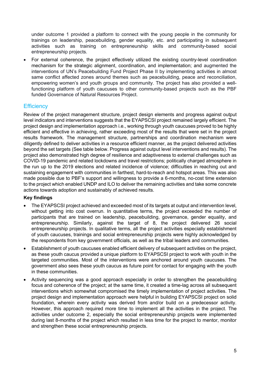under outcome 1 provided a platform to connect with the young people in the community for trainings on leadership, peacebuilding, gender equality, etc. and participating in subsequent activities such as training on entrepreneurship skills and community-based social entrepreneurship projects.

• For external coherence, the project effectively utilized the existing country-level coordination mechanism for the strategic alignment, coordination, and implementation; and augmented the interventions of UN's Peacebuilding Fund Project Phase II by implementing activities in almost same conflict affected zones around themes such as peacebuilding, peace and reconciliation, empowering women's and youth groups and community. The project has also provided a wellfunctioning platform of youth caucuses to other community-based projects such as the PBF funded Governance of Natural Resources Project.

#### **Efficiency**

Review of the project management structure, project design elements and progress against output level indicators and interventions suggests that the EYAPSCSI project remained largely efficient. The project design and implementation approach i.e., working through youth caucuses proved to be highly efficient and effective in achieving, rather exceeding most of the results that were set in the project results framework. The management structure, partnerships and coordination mechanism were diligently defined to deliver activities in a resource efficient manner, as the project delivered activities beyond the set targets (See table below. Progress against output level interventions and results). The project also demonstrated high degree of resilience and adaptiveness to external challenges such as COVID-19 pandemic and related lockdowns and travel restrictions; politically charged atmosphere in the run up to the 2019 elections and related incidence of violence; difficulties in reaching out and sustaining engagement with communities in farthest, hard-to-reach and hotspot areas. This was also made possible due to PBF's support and willingness to provide a 6-months, no-cost time extension to the project which enabled UNDP and ILO to deliver the remaining activities and take some concrete actions towards adoption and sustainably of achieved results.

#### **Key findings**

- The EYAPSCSI project achieved and exceeded most of its targets at output and intervention level, without getting into cost overrun. In quantitative terms, the project exceeded the number of participants that are trained on leadership, peacebuilding, governance, gender equality, and entrepreneurship. Similarly, against the target of 8, the project delivered 26 social entrepreneurship projects. In qualitative terms, all the project activities especially establishment of youth caucuses, trainings and social entrepreneurship projects were highly acknowledged by the respondents from key government officials, as well as the tribal leaders and communities.
- Establishment of youth caucuses enabled efficient delivery of subsequent activities on the project, as these youth caucus provided a unique platform to EYAPSCSI project to work with youth in the targeted communities. Most of the interventions were anchored around youth caucuses. The government also sees these youth caucus as future point for contact for engaging with the youth in these communities.
- Activity sequencing was a good approach especially in order to strengthen the peacebuilding focus and coherence of the project; at the same time, it created a time-lag across all subsequent interventions which somewhat compromised the timely implementation of project activities. The project design and implementation approach were helpful in building EYAPSCSI project on solid foundation, wherein every activity was derived from and/or build on a predecessor activity. However, this approach required more time to implement all the activities in the project. The activities under outcome 2, especially the social entrepreneurship projects were implemented during last 8-months of the project which resulted in less time for the project to mentor, monitor and strengthen these social entrepreneurship projects.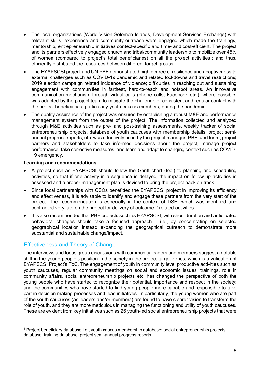- The local organizations (World Vision Solomon Islands, Development Services Exchange) with relevant skills, experience and community-outreach were engaged which made the trainings, mentorship, entrepreneurship initiatives context-specific and time- and cost-efficient. The project and its partners effectively engaged church and tribal/community leadership to mobilize over 45% of women (compared to project's total beneficiaries) on all the project activities<sup>1</sup>; and thus, efficiently distributed the resources between different target groups.
- The EYAPSCSI project and UN PBF demonstrated high degree of resilience and adaptiveness to external challenges such as COVID-19 pandemic and related lockdowns and travel restrictions; 2019 election campaign related incidence of violence; difficulties in reaching out and sustaining engagement with communities in farthest, hard-to-reach and hotspot areas. An innovative communication mechanism through virtual calls (phone calls, Facebook etc.), where possible, was adapted by the project team to mitigate the challenge of consistent and regular contact with the project beneficiaries, particularly youth caucus members, during the pandemic.
- The quality assurance of the project was ensured by establishing a robust M&E and performance management system from the outset of the project. The information collected and analyzed through M&E activities such as pre- and post-training assessments, weekly tracker of social entrepreneurship projects, database of youth caucuses with membership details, project semiannual progress reports, etc. was effectively used by the project manager, PBF fund team, project partners and stakeholders to take informed decisions about the project, manage project performance, take corrective measures, and learn and adapt to changing context such as COVID-19 emergency.

#### **Learning and recommendations**

- A project such as EYAPSCSI should follow the Gantt chart (tool) to planning and scheduling activities, so that if one activity in a sequence is delayed, the impact on follow-up activities is assessed and a proper management plan is devised to bring the project back on track.
- Since local partnerships with CSOs benefitted the EYAPSCSI project in improving its efficiency and effectiveness, it is advisable to identify and engage these partners from the very start of the project. The recommendation is especially in the context of DSE, which was identified and contracted very late on the project for delivery of outcome 2 related activities.
- It is also recommended that PBF projects such as EYAPSCSI, with short-duration and anticipated behavioral changes should take a focused approach – i.e., by concentrating on selected geographical location instead expanding the geographical outreach to demonstrate more substantial and sustainable change/impact.

### Effectiveness and Theory of Change

The interviews and focus group discussions with community leaders and members suggest a notable shift in the young people's position in the society in the project target zones, which is a validation of EYAPSCSI Project's ToC. The engagement of youth in community level productive activities such as youth caucuses, regular community meetings on social and economic issues, trainings, role in community affairs, social entrepreneurship projects etc. has changed the perspective of both the young people who have started to recognize their potential, importance and respect in the society; and the communities who have started to find young people more capable and responsible to take part in decision making processes and lead initiatives. In particularly, the young women who are part of the youth caucuses (as leaders and/or members) are found to have clearer vision to transform the role of youth, and they are more meticulous in managing the functioning and utility of youth caucuses. These are evident from key initiatives such as 26 youth-led social entrepreneurship projects that were

<sup>1</sup> Project beneficiary database i.e., youth caucus membership database; social entrepreneurship projects' database, training database, project semi-annual progress reports.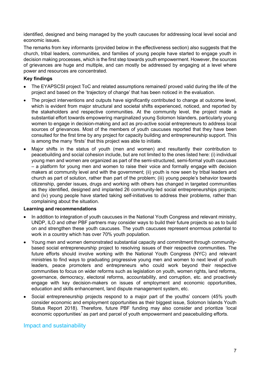identified, designed and being managed by the youth caucuses for addressing local level social and economic issues.

The remarks from key informants (provided below in the effectiveness section) also suggests that the church, tribal leaders, communities, and families of young people have started to engage youth in decision making processes, which is the first step towards youth empowerment. However, the sources of grievances are huge and multiple, and can mostly be addressed by engaging at a level where power and resources are concentrated.

#### **Key findings**

- The EYAPSCSI project ToC and related assumptions remained/ proved valid during the life of the project and based on the 'trajectory of change' that has been noticed in the evaluation.
- The project interventions and outputs have significantly contributed to change at outcome level, which is evident from major structural and societal shifts experienced, noticed, and reported by the stakeholders and respective communities. At the community level, the project made a substantial effort towards empowering marginalized young Solomon Islanders, particularly young women to engage in decision-making and act as pro-active social entrepreneurs to address local sources of grievances. Most of the members of youth caucuses reported that they have been consulted for the first time by any project for capacity building and entrepreneurship support. This is among the many 'firsts' that this project was able to initiate.
- Major shifts in the status of youth (men and women) and resultantly their contribution to peacebuilding and social cohesion include, but are not limited to the ones listed here: (i) individual young men and women are organized as part of the semi-structured, semi-formal youth caucuses – a platform for young men and women to raise their voice and formally engage with decision makers at community level and with the government; (ii) youth is now seen by tribal leaders and church as part of solution, rather than part of the problem; (iii) young people's behavior towards citizenship, gender issues, drugs and working with others has changed in targeted communities as they identified, designed and implanted 26 community-led social entrepreneurships projects; and (iv) young people have started taking self-initiatives to address their problems, rather than complaining about the situation.

#### **Learning and recommendations**

- In addition to integration of youth caucuses in the National Youth Congress and relevant ministry, UNDP, ILO and other PBF partners may consider ways to build their future projects so as to build on and strengthen these youth caucuses. The youth caucuses represent enormous potential to work in a country which has over 70% youth population.
- Young men and women demonstrated substantial capacity and commitment through communitybased social entrepreneurship project to resolving issues of their respective communities. The future efforts should involve working with the National Youth Congress (NYC) and relevant ministries to find ways to graduating progressive young men and women to next level of youth leaders, peace promoters and entrepreneurs who could work beyond their respective communities to focus on wider reforms such as legislation on youth, women rights, land reforms, governance, democracy, electoral reforms, accountability, and corruption, etc. and proactively engage with key decision-makers on issues of employment and economic opportunities, education and skills enhancement, land dispute management system, etc.
- Social entrepreneurship projects respond to a major part of the youths' concern (45% youth consider economic and employment opportunities as their biggest issue, Solomon Islands Youth Status Report 2018). Therefore, future PBF funding may also consider and prioritize 'local economic opportunities' as part and parcel of youth empowerment and peacebuilding efforts.

#### Impact and sustainability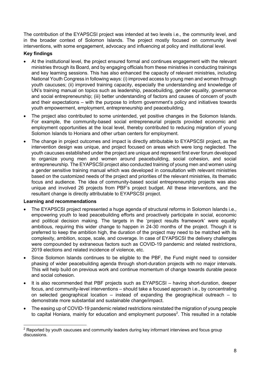The contribution of the EYAPSCSI project was intended at two levels i.e., the community level, and in the broader context of Solomon Islands. The project mostly focused on community level interventions, with some engagement, advocacy and influencing at policy and institutional level.

#### **Key findings**

- At the institutional level, the project ensured formal and continues engagement with the relevant ministries through its Board, and by engaging officials from these ministries in conducting trainings and key learning sessions. This has also enhanced the capacity of relevant ministries, including National Youth Congress in following ways: (i) improved access to young men and women through youth caucuses; (ii) improved training capacity, especially the understanding and knowledge of UN's training manual on topics such as leadership, peacebuilding, gender equality, governance and social entrepreneurship; (iii) better understanding of factors and causes of concern of youth and their expectations – with the purpose to inform government's policy and initiatives towards youth empowerment, employment, entrepreneurship and peacebuilding.
- The project also contributed to some unintended, yet positive changes in the Solomon Islands. For example, the community-based social entrepreneurial projects provided economic and employment opportunities at the local level, thereby contributed to reducing migration of young Solomon Islands to Honiara and other urban centers for employment.
- The change in project outcomes and impact is directly attributable to EYAPSCSI project, as the intervention design was unique, and project focused on areas which were long neglected. The youth caucuses established under the project are unique and represent first ever forum developed to organize young men and women around peacebuilding, social cohesion, and social entrepreneurship. The EYAPSCSI project also conducted training of young men and women using a gender sensitive training manual which was developed in consultation with relevant ministries based on the customized needs of the project and priorities of the relevant ministries, its thematic focus and audience. The idea of community-based social entrepreneurship projects was also unique and involved 26 projects from PBF's project budget. All these interventions, and the resultant change is directly attributable to EYAPSCSI project.

#### **Learning and recommendations**

- The EYAPSCSI project represented a huge agenda of structural reforms in Solomon Islands i.e., empowering youth to lead peacebuilding efforts and proactively participate in social, economic and political decision making. The targets in the 'project results framework' were equally ambitious, requiring this wider change to happen in 24-30 months of the project. Though it is preferred to keep the ambition high, the duration of the project may need to be matched with its complexity, ambition, scope, scale, and coverage. In case of EYAPSCSI the delivery challenges were compounded by extraneous factors such as COVID-19 pandemic and related restrictions, 2019 elections and related incidence of violence, etc.
- Since Solomon Islands continues to be eligible to the PBF, the Fund might need to consider phasing of wider peacebuilding agenda through short-duration projects with no major intervals. This will help build on previous work and continue momentum of change towards durable peace and social cohesion.
- It is also recommended that PBF projects such as EYAPSCSI having short-duration, deeper focus, and community-level interventions – should take a focused approach i.e., by concentrating on selected geographical location – instead of expanding the geographical outreach – to demonstrate more substantial and sustainable change/impact.
- The easing up of COVID-19 pandemic related restrictions reinstated the migration of young people to capital Honiara, mainly for education and employment purposes<sup>2</sup>. This resulted in a notable

<sup>&</sup>lt;sup>2</sup> Reported by youth caucuses and community leaders during key informant interviews and focus group discussions.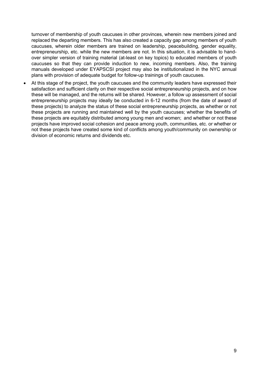turnover of membership of youth caucuses in other provinces, wherein new members joined and replaced the departing members. This has also created a capacity gap among members of youth caucuses, wherein older members are trained on leadership, peacebuilding, gender equality, entrepreneurship, etc. while the new members are not. In this situation, it is advisable to handover simpler version of training material (at-least on key topics) to educated members of youth caucuses so that they can provide induction to new, incoming members. Also, the training manuals developed under EYAPSCSI project may also be institutionalized in the NYC annual plans with provision of adequate budget for follow-up trainings of youth caucuses.

• At this stage of the project, the youth caucuses and the community leaders have expressed their satisfaction and sufficient clarity on their respective social entrepreneurship projects, and on how these will be managed, and the returns will be shared. However, a follow up assessment of social entrepreneurship projects may ideally be conducted in 6-12 months (from the date of award of these projects) to analyze the status of these social entrepreneurship projects, as whether or not these projects are running and maintained well by the youth caucuses; whether the benefits of these projects are equitably distributed among young men and women; and whether or not these projects have improved social cohesion and peace among youth, communities, etc. or whether or not these projects have created some kind of conflicts among youth/community on ownership or division of economic returns and dividends etc.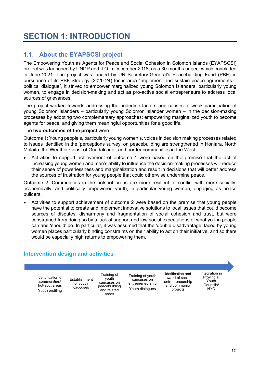## **SECTION 1: INTRODUCTION**

## **1.1. About the EYAPSCSI project**

The Empowering Youth as Agents for Peace and Social Cohesion in Solomon Islands (EYAPSCSI) project was launched by UNDP and ILO in December 2018, as a 30-months project which concluded in June 2021. The project was funded by UN Secretary-General's Peacebuilding Fund (PBF) in pursuance of its PBF Strategy (2020-24) focus area "Implement and sustain peace agreements – political dialogue", it strived to empower marginalized young Solomon Islanders, particularly young women, to engage in decision-making and act as pro-active social entrepreneurs to address local sources of grievances.

The project worked towards addressing the underline factors and causes of weak participation of young Solomon Islanders – particularly young Solomon Islander women – in the decision-making processes by adopting two complementary approaches: empowering marginalized youth to become agents for peace; and giving them meaningful opportunities for a good life.

#### The **two outcomes of the project** were:

Outcome 1: Young people's, particularly young women's, voices in decision making processes related to issues identified in the 'perceptions survey' on peacebuilding are strengthened in Honiara, North Malaita, the Weather Coast of Guadalcanal, and border communities in the West.

• Activities to support achievement of outcome 1 were based on the premise that the act of increasing young women and men's ability to influence the decision-making processes will reduce their sense of powerlessness and marginalization and result in decisions that will better address the sources of frustration for young people that could otherwise undermine peace.

Outcome 2: Communities in the hotspot areas are more resilient to conflict with more socially, economically, and politically empowered youth, in particular young women, engaging as peace builders.

• Activities to support achievement of outcome 2 were based on the premise that young people have the potential to create and implement innovative solutions to local issues that could become sources of disputes, disharmony and fragmentation of social cohesion and trust, but were constrained from doing so by a lack of support and low social expectations of what young people can and 'should' do. In particular, it was assumed that the 'double disadvantage' faced by young women places particularly binding constraints on their ability to act on their initiative, and so there would be especially high returns to empowering them.

## **Intervention design and activities**

Identification of communities/ hot-spot areas Youth profiling

Establishment of youth caucuses

Training of youth caucuses on peacebuilding and related areas

Training of youth caucuses on entrepreneurship Youth dialogues

Idetification and award of social entreprenourship and community projects

Integration in Provincial Youth Councils/ NYC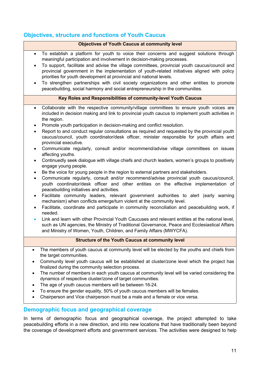## **Objectives, structure and functions of Youth Caucus**

|                                                                                                                | <b>Objectives of Youth Caucus at community level</b>                                                                                                                                                                                                                                                                                                                                                                                                                                                                                                                                                                                                                                                                                                                                                                                                                                                                                                                                                                                                                                                                                                                                                                                                                                                                                                                                                                                                                                                                                                                                                                                 |
|----------------------------------------------------------------------------------------------------------------|--------------------------------------------------------------------------------------------------------------------------------------------------------------------------------------------------------------------------------------------------------------------------------------------------------------------------------------------------------------------------------------------------------------------------------------------------------------------------------------------------------------------------------------------------------------------------------------------------------------------------------------------------------------------------------------------------------------------------------------------------------------------------------------------------------------------------------------------------------------------------------------------------------------------------------------------------------------------------------------------------------------------------------------------------------------------------------------------------------------------------------------------------------------------------------------------------------------------------------------------------------------------------------------------------------------------------------------------------------------------------------------------------------------------------------------------------------------------------------------------------------------------------------------------------------------------------------------------------------------------------------------|
| $\bullet$<br>$\bullet$<br>$\bullet$                                                                            | To establish a platform for youth to voice their concerns and suggest solutions through<br>meaningful participation and involvement in decision-making processes.<br>To support, facilitate and advise the village committees, provincial youth caucus/council and<br>provincial government in the implementation of youth-related initiatives aligned with policy<br>priorities for youth development at provincial and national levels.<br>To strengthen partnerships with civil society organizations and other entities to promote<br>peacebuilding, social harmony and social entrepreneurship in the communities.                                                                                                                                                                                                                                                                                                                                                                                                                                                                                                                                                                                                                                                                                                                                                                                                                                                                                                                                                                                                              |
|                                                                                                                | Key Roles and Responsibilities of community-level Youth Caucus                                                                                                                                                                                                                                                                                                                                                                                                                                                                                                                                                                                                                                                                                                                                                                                                                                                                                                                                                                                                                                                                                                                                                                                                                                                                                                                                                                                                                                                                                                                                                                       |
| $\bullet$<br>٠<br>$\bullet$<br>$\bullet$<br>$\bullet$<br>$\bullet$<br>$\bullet$<br>٠<br>$\bullet$<br>$\bullet$ | Collaborate with the respective community/village committees to ensure youth voices are<br>included in decision making and link to provincial youth caucus to implement youth activities in<br>the region.<br>Promote youth participation in decision-making and conflict resolution.<br>Report to and conduct regular consultations as required and requested by the provincial youth<br>caucus/council, youth coordinator/desk officer, minister responsible for youth affairs and<br>provincial executive.<br>Communicate regularly, consult and/or recommend/advise village committees on issues<br>affecting youths.<br>Continuedly seek dialogue with village chiefs and church leaders, women's groups to positively<br>engage young people.<br>Be the voice for young people in the region to external partners and stakeholders.<br>Communicate regularly, consult and/or recommend/advise provincial youth caucus/council,<br>youth coordinator/desk officer and other entities on the effective implementation of<br>peacebuilding initiatives and activities.<br>Facilitate community leaders, relevant government authorities to alert (early warning<br>mechanism) when conflicts emerge/turn violent at the community level.<br>Facilitate, coordinate and participate in community reconciliation and peacebuilding work, if<br>needed.<br>Link and learn with other Provincial Youth Caucuses and relevant entities at the national level,<br>such as UN agencies, the Ministry of Traditional Governance, Peace and Ecclesiastical Affairs<br>and Ministry of Women, Youth, Children, and Family Affairs (MWYCFA). |
|                                                                                                                | <b>Structure of the Youth Caucus at community level</b>                                                                                                                                                                                                                                                                                                                                                                                                                                                                                                                                                                                                                                                                                                                                                                                                                                                                                                                                                                                                                                                                                                                                                                                                                                                                                                                                                                                                                                                                                                                                                                              |
| $\bullet$<br>$\bullet$                                                                                         | The members of youth caucus at community level will be elected by the youths and chiefs from<br>the target communities.<br>Community level youth caucus will be established at cluster/zone level which the project has<br>finalized during the community selection process.<br>The number of members in each youth caucus at community level will be varied considering the<br>dynamics of respective cluster/zone of target communities.<br>The age of youth caucus members will be between 16-24.<br>To ensure the gender equality, 50% of youth caucus members will be females.                                                                                                                                                                                                                                                                                                                                                                                                                                                                                                                                                                                                                                                                                                                                                                                                                                                                                                                                                                                                                                                  |

• Chairperson and Vice chairperson must be a male and a female or vice versa.

## **Demographic focus and geographical coverage**

In terms of demographic focus and geographical coverage, the project attempted to take peacebuilding efforts in a new direction, and into new locations that have traditionally been beyond the coverage of development efforts and government services. The activities were designed to help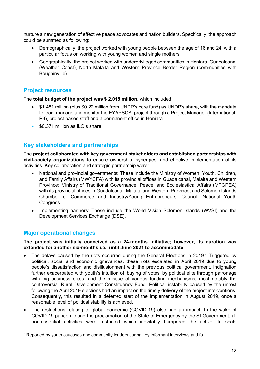nurture a new generation of effective peace advocates and nation builders. Specifically, the approach could be summed as following:

- Demographically, the project worked with young people between the age of 16 and 24, with a particular focus on working with young women and single mothers
- Geographically, the project worked with underprivileged communities in Honiara, Guadalcanal (Weather Coast), North Malaita and Western Province Border Region (communities with Bougainville)

### **Project resources**

The **total budget of the project was \$ 2.018 million**, which included:

- \$1.481 million (plus \$0.22 million from UNDP's core fund) as UNDP's share, with the mandate to lead, manage and monitor the EYAPSCSI project through a Project Manager (International, P3), project-based staff and a permanent office in Honiara
- \$0.371 million as ILO's share

## **Key stakeholders and partnerships**

The **project collaborated with key government stakeholders and established partnerships with civil-society organizations** to ensure ownership, synergies, and effective implementation of its activities. Key collaboration and strategic partnership were:

- National and provincial governments: These include the Ministry of Women, Youth, Children, and Family Affairs (MWYCFA) with its provincial offices in Guadalcanal, Malaita and Western Province; Ministry of Traditional Governance, Peace, and Ecclesiastical Affairs (MTGPEA) with its provincial offices in Guadalcanal, Malaita and Western Province; and Solomon Islands Chamber of Commerce and Industry/Young Entrepreneurs' Council, National Youth Congress.
- Implementing partners: These include the World Vision Solomon Islands (WVSI) and the Development Services Exchange (DSE).

## **Major operational changes**

#### **The project was initially conceived as a 24-months initiative; however, its duration was extended for another six-months i.e., until June 2021 to accommodate**:

- The delays caused by the riots occurred during the General Elections in 2019<sup>3</sup>. Triggered by political, social and economic grievances, these riots escalated in April 2019 due to young people's dissatisfaction and disillusionment with the previous political government. indignation further exacerbated with youth's intuition of 'buying of votes' by political elite through patronage with big business elites, and the misuse of various funding mechanisms, most notably the controversial Rural Development Constituency Fund. Political instability caused by the unrest following the April 2019 elections had an impact on the timely delivery of the project interventions. Consequently, this resulted in a deferred start of the implementation in August 2019, once a reasonable level of political stability is achieved.
- The restrictions relating to global pandemic (COVID-19) also had an impact. In the wake of COVID-19 pandemic and the proclamation of the State of Emergency by the SI Government, all non-essential activities were restricted which inevitably hampered the active, full-scale

 $3$  Reported by youth caucuses and community leaders during key informant interviews and fo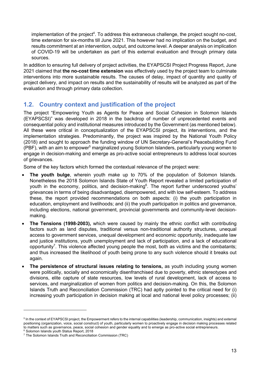implementation of the project<sup>4</sup>. To address this extraneous challenge, the project sought no-cost, time extension for six-months till June 2021. This however had no implication on the budget, and results commitment at an intervention, output, and outcome level. A deeper analysis on implication of COVID-19 will be undertaken as part of this external evaluation and through primary data sources.

In addition to ensuring full delivery of project activities, the EYAPSCSI Project Progress Report, June 2021 claimed that **the no-cost time extension** was effectively used by the project team to culminate interventions into more sustainable results. The causes of delay, impact of quantity and quality of project delivery, and impact on results and the sustainability of results will be analyzed as part of the evaluation and through primary data collection.

## **1.2. Country context and justification of the project**

The project "Empowering Youth as Agents for Peace and Social Cohesion in Solomon Islands (EYAPSCSI)" was developed in 2018 in the backdrop of number of unprecedented events and consequential policy and institutional measures introduced by the Government (as mentioned below). All these were critical in conceptualization of the EYAPSCSI project, its interventions, and the implementation strategies. Predominantly, the project was inspired by the National Youth Policy (2018) and sought to approach the funding window of UN Secretary-General's Peacebuilding Fund (PBF), with an aim to empower<sup>5</sup> marginalized young Solomon Islanders, particularly young women to engage in decision-making and emerge as pro-active social entrepreneurs to address local sources of grievances.

Some of the key factors which formed the contextual relevance of the project were:

- The youth bulge, wherein youth make up to 70% of the population of Solomon Islands. Nonetheless the 2018 Solomon Islands State of Youth Report revealed a limited participation of youth in the economy, politics, and decision-making<sup>6</sup>. The report further underscored youths' grievances in terms of being disadvantaged, disempowered, and with low self-esteem. To address these, the report provided recommendations on both aspects: (i) the youth participation in education, employment and livelihoods; and (ii) the youth participation in politics and governance, including elections, national government, provincial governments and community-level decisionmaking.
- **The Tensions (1998-2003),** which were caused by mainly the ethnic conflict with contributing factors such as land disputes, traditional versus non-traditional authority structures, unequal access to government services, unequal development and economic opportunity, inadequate law and justice institutions, youth unemployment and lack of participation, and a lack of educational opportunity<sup>7</sup>. This violence affected young people the most, both as victims and the combatants; and thus increased the likelihood of youth being prone to any such violence should it breaks out again.
- **The persistence of structural issues relating to tensions,** as youth including young women were politically, socially and economically disenfranchised due to poverty, ethnic stereotypes and divisions, elite capture of state resources, low levels of rural development, lack of access to services, and marginalization of women from politics and decision-making. On this, the Solomon Islands Truth and Reconciliation Commission (TRC) had aptly pointed to the critical need for (i) increasing youth participation in decision making at local and national level policy processes; (ii)

<sup>&</sup>lt;sup>5</sup> In the context of EYAPSCSI project, the Empowerment refers to the internal capabilities (leadership, communication, insights) and external positioning (organization, voice, social construct) of youth, particularly women to proactively engage in decision making processes related to matters such as governance, peace, social cohesion and gender equality and to emerge as pro-active social entrepreneurs.<br><sup>6</sup> Solomon Islands youth Status Report, 2018

<sup>7</sup> The Solomon Islands Truth and Reconciliation Commission (TRC)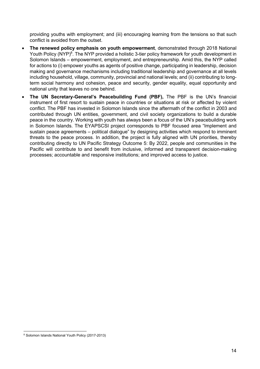providing youths with employment; and (iii) encouraging learning from the tensions so that such conflict is avoided from the outset.

- **The renewed policy emphasis on youth empowerment**, demonstrated through 2018 National Youth Policy (NYP)<sup>8</sup>. The NYP provided a holistic 3-tier policy framework for youth development in Solomon Islands – empowerment, employment, and entrepreneurship. Amid this, the NYP called for actions to (i) empower youths as agents of positive change, participating in leadership, decision making and governance mechanisms including traditional leadership and governance at all levels including household, village, community, provincial and national levels; and (ii) contributing to longterm social harmony and cohesion, peace and security, gender equality, equal opportunity and national unity that leaves no one behind.
- **The UN Secretary-General's Peacebuilding Fund (PBF),** The PBF is the UN's financial instrument of first resort to sustain peace in countries or situations at risk or affected by violent conflict. The PBF has invested in Solomon Islands since the aftermath of the conflict in 2003 and contributed through UN entities, government, and civil society organizations to build a durable peace in the country. Working with youth has always been a focus of the UN's peacebuilding work in Solomon Islands. The EYAPSCSI project corresponds to PBF focused area "Implement and sustain peace agreements – political dialogue" by designing activities which respond to imminent threats to the peace process. In addition, the project is fully aligned with UN priorities, thereby contributing directly to UN Pacific Strategy Outcome 5: By 2022, people and communities in the Pacific will contribute to and benefit from inclusive, informed and transparent decision-making processes; accountable and responsive institutions; and improved access to justice.

<sup>8</sup> Solomon Islands National Youth Policy (2017-2013)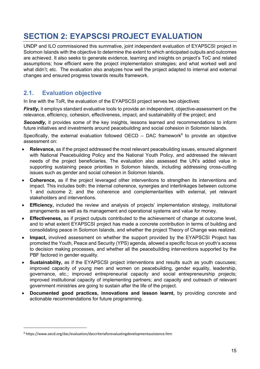## **SECTION 2: EYAPSCSI PROJECT EVALUATION**

UNDP and ILO commissioned this summative, joint independent evaluation of EYAPSCSI project in Solomon Islands with the objective to determine the extent to which anticipated outputs and outcomes are achieved. It also seeks to generate evidence, learning and insights on project's ToC and related assumptions; how efficient were the project implementation strategies; and what worked well and what didn't; etc. The evaluation also analyzes how well the project adapted to internal and external changes and ensured progress towards results framework.

## **2.1. Evaluation objective**

In line with the ToR, the evaluation of the EYAPSCSI project serves two objectives:

*Firstly*, it employs standard evaluative tools to provide an independent, objective-assessment on the relevance, efficiency, cohesion, effectiveness, impact, and sustainability of the project; and

**Secondly,** it provides some of the key insights, lessons learned and recommendations to inform future initiatives and investments around peacebuilding and social cohesion in Solomon Islands.

Specifically, the external evaluation followed OECD – DAC framework<sup>9</sup> to provide an objective assessment on:

- **Relevance,** as if the project addressed the most relevant peacebuilding issues, ensured alignment with National Peacebuilding Policy and the National Youth Policy, and addressed the relevant needs of the project beneficiaries. The evaluation also assessed the UN's added value in supporting sustaining peace priorities in Solomon Islands, including addressing cross-cutting issues such as gender and social cohesion in Solomon Islands.
- **Coherence,** as if the project leveraged other interventions to strengthen its interventions and impact. This includes both: the internal coherence, synergies and interlinkages between outcome 1 and outcome 2; and the coherence and complementarities with external, yet relevant stakeholders and interventions.
- **Efficiency,** included the review and analysis of projects' implementation strategy, institutional arrangements as well as its management and operational systems and value for money.
- **Effectiveness,** as if project outputs contributed to the achievement of change at outcome level, and to what extent EYAPSCSI project has made a concrete contribution in terms of building and consolidating peace in Solomon Islands, and whether the project Theory of Change was realized.
- **Impact,** involved assessment on whether the support provided by the EYAPSCSI Project has promoted the Youth, Peace and Security (YPS) agenda, allowed a specific focus on youth's access to decision making processes, and whether all the peacebuilding interventions supported by the PBF factored in gender equality.
- **Sustainability,** as if the EYAPSCSI project interventions and results such as youth caucuses; improved capacity of young men and women on peacebuilding, gender equality, leadership, governance, etc.; improved entrepreneurial capacity and social entrepreneurship projects; improved institutional capacity of implementing partners; and capacity and outreach of relevant government ministries are going to sustain after the life of the project.
- **Documented good practices, innovations and lesson learnt,** by providing concrete and actionable recommendations for future programming.

<sup>9</sup> https://www.oecd.org/dac/evaluation/daccriteriaforevaluatingdevelopmentassistance.htm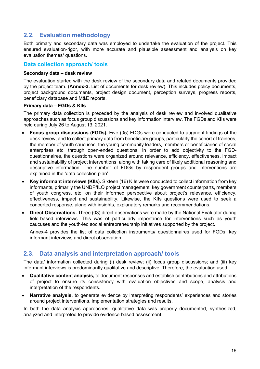## **2.2. Evaluation methodology**

Both primary and secondary data was employed to undertake the evaluation of the project. This ensured evaluation-rigor, with more accurate and plausible assessment and analysis on key evaluation themes/ questions.

#### **Data collection approach/ tools**

#### **Secondary data – desk review**

The evaluation started with the desk review of the secondary data and related documents provided by the project team. (**Annex-3.** List of documents for desk review). This includes policy documents, project background documents, project design document, perception surveys, progress reports, beneficiary database and M&E reports.

#### **Primary data – FGDs & KIIs**

The primary data collection is preceded by the analysis of desk review and involved qualitative approaches such as focus group discussions and key information interview. The FGDs and KIIs were held during July 26 to August 13, 2021.

- **Focus group discussions (FGDs).** Five (05) FDGs were conducted to augment findings of the desk-review, and to collect primary data from beneficiary groups, particularly the cohort of trainees, the member of youth caucuses, the young community leaders, members or beneficiaries of social enterprises etc. through open-ended questions. In order to add objectivity to the FGDquestionnaires, the questions were organized around relevance, efficiency, effectiveness, impact and sustainability of project interventions, along with taking care of likely additional reasoning and descriptive information. The number of FDGs by respondent groups and interventions are explained in the 'data collection plan'.
- **Key informant interviews (KIIs).** Sixteen (16) KIIs were conducted to collect information from key informants, primarily the UNDP/ILO project management, key government counterparts, members of youth congress, etc. on their informed perspective about project's relevance, efficiency, effectiveness, impact and sustainability. Likewise, the KIIs questions were used to seek a concerted response, along with insights, explanatory remarks and recommendations.
- **Direct Observations.** Three (03) direct observations were made by the National Evaluator during field-based interviews. This was of particularly importance for interventions such as youth caucuses and the youth-led social entrepreneurship initiatives supported by the project.

Annex-4 provides the list of data collection instruments/ questionnaires used for FGDs, key informant interviews and direct observation.

## **2.3. Data analysis and interpretation approach/ tools**

The data/ information collected during (i) desk review; (ii) focus group discussions; and (iii) key informant interviews is predominantly qualitative and descriptive. Therefore, the evaluation used:

- **Qualitative content analysis,** to document responses and establish contributions and attributions of project to ensure its consistency with evaluation objectives and scope, analysis and interpretation of the respondents.
- **Narrative analysis,** to generate evidence by interpreting respondents' experiences and stories around project interventions, implementation strategies and results.

In both the data analysis approaches, qualitative data was properly documented, synthesized, analyzed and interpreted to provide evidence-based assessment.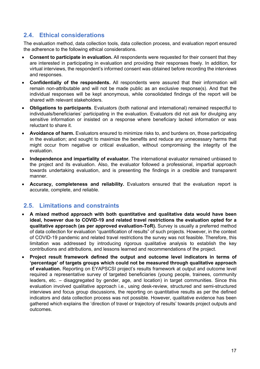## **2.4. Ethical considerations**

The evaluation method, data collection tools, data collection process, and evaluation report ensured the adherence to the following ethical considerations.

- **Consent to participate in evaluation.** All respondents were requested for their consent that they are interested in participating in evaluation and providing their responses freely. In addition, for virtual interviews, the respondent's informed consent was obtained before recording the interviews and responses.
- **Confidentially of the respondents.** All respondents were assured that their information will remain non-attributable and will not be made public as an exclusive response(s). And that the individual responses will be kept anonymous, while consolidated findings of the report will be shared with relevant stakeholders.
- **Obligations to participants**. Evaluators (both national and international) remained respectful to individuals/beneficiaries' participating in the evaluation. Evaluators did not ask for divulging any sensitive information or insisted on a response where beneficiary lacked information or was reluctant to share it.
- **Avoidance of harm.** Evaluators ensured to minimize risks to, and burdens on, those participating in the evaluation; and sought to maximize the benefits and reduce any unnecessary harms that might occur from negative or critical evaluation, without compromising the integrity of the evaluation.
- **Independence and impartiality of evaluator.** The international evaluator remained unbiased to the project and its evaluation. Also, the evaluator followed a professional, impartial approach towards undertaking evaluation, and is presenting the findings in a credible and transparent manner.
- **Accuracy, completeness and reliability.** Evaluators ensured that the evaluation report is accurate, complete, and reliable.

## **2.5. Limitations and constraints**

- **A mixed method approach with both quantitative and qualitative data would have been ideal, however due to COVID-19 and related travel restrictions the evaluation opted for a qualitative approach (as per approved evaluation-ToR).** Survey is usually a preferred method of data collection for evaluation "quantification of results" of such projects. However, in the context of COVID-19 pandemic and related travel restrictions the survey was not feasible. Therefore, this limitation was addressed by introducing rigorous qualitative analysis to establish the key contributions and attributions, and lessons learned and recommendations of the project.
- **Project result framework defined the output and outcome level indicators in terms of 'percentage' of targets groups which could not be measured through qualitative approach of evaluation.** Reporting on EYAPSCSI project's results framework at output and outcome level required a representative survey of targeted beneficiaries (young people, trainees, community leaders, etc. – disaggregated by gender, age, and location) in target communities. Since this evaluation involved qualitative approach i.e., using desk-review, structured and semi-structured interviews and focus group discussions, the reporting on quantitative results as per the defined indicators and data collection process was not possible. However, qualitative evidence has been gathered which explains the 'direction of travel or trajectory of results' towards project outputs and outcomes.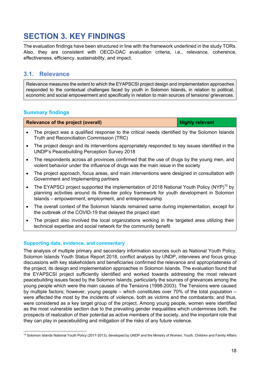## **SECTION 3. KEY FINDINGS**

The evaluation findings have been structured in line with the framework underlined in the study TORs. Also, they are consistent with OECD-DAC evaluation criteria, i.e., relevance, coherence, effectiveness, efficiency, sustainability, and impact.

## **3.1. Relevance**

Relevance measures the extent to which the EYAPSCSI project design and implementation approaches responded to the contextual challenges faced by youth in Solomon Islands, in relation to political, economic and social empowerment and specifically in relation to main sources of tensions/ grievances.

### **Summary findings**

| Relevance of the project (overall)                                                           | <b>Highly relevant</b> |
|----------------------------------------------------------------------------------------------|------------------------|
| The project was a qualified response to the critical needs identified by the Solomon Islands |                        |

- Truth and Reconciliation Commission (TRC)
- The project design and its interventions appropriately responded to key issues identified in the UNDP's Peacebuilding Perception Survey 2018
- The respondents across all provinces confirmed that the use of drugs by the young men, and violent behavior under the influence of drugs was the main issue in the society
- The project approach, focus areas, and main interventions were designed in consultation with Government and Implementing partners
- The EYAPSCI project supported the implementation of 2018 National Youth Policy (NYP)<sup>10</sup> by planning activities around its three-tier policy framework for youth development in Solomon Islands – empowerment, employment, and entrepreneurship
- The overall context of the Solomon Islands remained same during implementation, except for the outbreak of the COVID-19 that delayed the project start
- The project also involved the local organizations working in the targeted area utilizing their technical expertise and social network for the community benefit

#### **Supporting data, evidence, and commentary**

The analysis of multiple primary and secondary information sources such as National Youth Policy, Solomon Islands Youth Status Report 2018, conflict analysis by UNDP, interviews and focus group discussions with key stakeholders and beneficiaries confirmed the relevance and appropriateness of the project, its design and implementation approaches in Solomon Islands. The evaluation found that the EYAPSCSI project sufficiently identified and worked towards addressing the most relevant peacebuilding issues faced by the Solomon Islands, particularly the sources of grievances among the young people which were the main causes of the Tensions (1998-2003). The Tensions were caused by multiple factors; however, young people – which constitutes over 70% of the total population – were affected the most by the incidents of violence, both as victims and the combatants; and thus, were considered as a key target group of the project. Among young people, women were identified as the most vulnerable section due to the prevailing gender inequalities which undermines both, the prospects of realization of their potential as active members of the society, and the important role that they can play in peacebuilding and mitigation of the risks of any future violence.

<sup>10</sup> Solomon Islands National Youth Policy (2017-2013), developed by UNDP and the Ministry of Women, Youth, Children and Family Affairs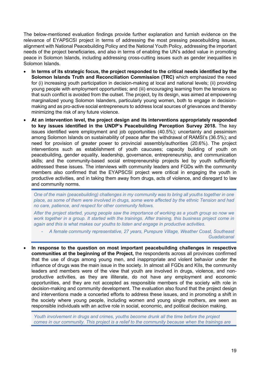The below-mentioned evaluation findings provide further explanation and furnish evidence on the relevance of EYAPSCSI project in terms of addressing the most pressing peacebuilding issues, alignment with National Peacebuilding Policy and the National Youth Policy, addressing the important needs of the project beneficiaries, and also in terms of enabling the UN's added value in promoting peace in Solomon Islands, including addressing cross-cutting issues such as gender inequalities in Solomon Islands.

- **In terms of its strategic focus, the project responded to the critical needs identified by the Solomon Islands Truth and Reconciliation Commission (TRC)** which emphasized the need for (i) increasing youth participation in decision-making at local and national levels; (ii) providing young people with employment opportunities; and (iii) encouraging learning from the tensions so that such conflict is avoided from the outset. The project, by its design, was aimed at empowering marginalized young Solomon Islanders, particularly young women, both to engage in decisionmaking and as pro-active social entrepreneurs to address local sources of grievances and thereby minimizing the risk of any future violence.
- **At an intervention level, the project design and its interventions appropriately responded to key issues identified in the UNDP's Peacebuilding Perception Survey 2018.** The key issues identified were employment and job opportunities (40.5%); uncertainty and pessimism among Solomon Islands on sustainability of peace after the withdrawal of RAMSI's (36.5%); and need for provision of greater power to provincial assembly/authorities (20.6%). The project interventions such as establishment of youth caucuses; capacity building of youth on peacebuilding, gender equality, leadership, governance, entrepreneurship, and communication skills; and the community-based social entrepreneurship projects led by youth sufficiently addressed these issues. The interviews with community leaders and FGDs with the community members also confirmed that the EYAPSCSI project were critical in engaging the youth in productive activities, and in taking them away from drugs, acts of violence, and disregard to law and community norms.

*One of the main (peacebuilding) challenges in my community was to bring all youths together in one place, as some of them were involved in drugs, some were affected by the ethnic Tension and had no care, patience, and respect for other community fellows.* 

*After the project started, young people saw the importance of working as a youth group so now we work together in a group. It started with the trainings. After training, this business project come in again and this is what makes our youths to listen and engage in productive activities.*

- *A female community representative, 27 years, Purepure Village, Weather Coast, Southeast Guadalcanal*
- **In response to the question on most important peacebuilding challenges in respective communities at the beginning of the Project,** the respondents across all provinces confirmed that the use of drugs among young men, and inappropriate and violent behavior under the influence of drugs was the main issue in the society. In almost all FGDs and KIIs, the community leaders and members were of the view that youth are involved in drugs, violence, and nonproductive activities, as they are illiterate, do not have any employment and economic opportunities, and they are not accepted as responsible members of the society with role in decision-making and community development. The evaluation also found that the project design and interventions made a concerted efforts to address these issues, and in promoting a shift in the society where young people, including women and young single mothers, are seen as responsible individuals with an active role in social, economic, and political decision making.

*Youth involvement in drugs and crimes, youths become drunk all the time before the project comes in our community. This project is a relief to the community because when the trainings are*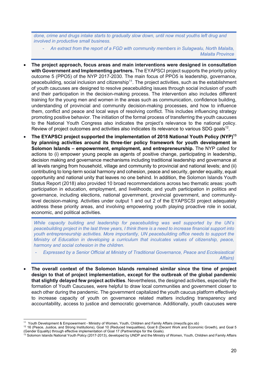*done, crime and drugs intake starts to gradually slow down, until now most youths left drug and involved in productive small business.* 

- *An extract from the report of a FGD with community members in Sulagwalu, North Malaita, Malaita Province*

- **The project approach, focus areas and main interventions were designed in consultation with Government and Implementing partners.** The EYAPSCI project supports the priority policy outcome 5 (PPO5) of the NYP 2017-2030. The main focus of PPO5 is leadership, governance, peacebuilding, social inclusion and citizenship<sup>11</sup>. The project activities, such as the establishment of youth caucuses are designed to resolve peacebuilding issues through social inclusion of youth and their participation in the decision-making process. The intervention also includes different training for the young men and women in the areas such as communication, confidence building, understanding of provincial and community decision-making processes, and how to influence them, conflict and peace and local ways of resolving conflict. This includes influencing strategy promoting positive behavior. The initiation of the formal process of transferring the youth caucuses to the National Youth Congress also indicates the project's relevance to the national policy. Review of project outcomes and activities also indicates its relevance to various SDG goals $12$ .
- **The EYAPSCI project supported the implementation of 2018 National Youth Policy (NYP)13 by planning activities around its three-tier policy framework for youth development in Solomon Islands – empowerment, employment, and entrepreneurship.** The NYP called for actions to (i) empower young people as agents of positive change, participating in leadership, decision making and governance mechanisms including traditional leadership and governance at all levels ranging from household, village and community to provincial and national levels; and (ii) contributing to long-term social harmony and cohesion, peace and security, gender equality, equal opportunity and national unity that leaves no one behind. In addition, the Solomon Islands Youth Status Report (2018) also provided 10 broad recommendations across two thematic areas: youth participation in education, employment, and livelihoods; and youth participation in politics and governance, including elections, national government, provincial government, and communitylevel decision-making. Activities under output 1 and out 2 of the EYAPSCSI project adequately address these priority areas, and involving empowering youth playing proactive role in social, economic, and political activities.

*While capacity building and leadership for peacebuilding was well supported by the UN's peacebuilding project in the last three years, I think there is a need to increase financial support into youth entrepreneurship activities. More importantly, UN peacebuilding office needs to support the Ministry of Education in developing a curriculum that inculcates values of citizenship, peace, harmony and social cohesion in the children.* 

- *Expressed by a Senior Official at Ministry of Traditional Governance, Peace and Ecclesiastical Affairs)*
- **The overall context of the Solomon Islands remained similar since the time of project design to that of project implementation, except for the outbreak of the global pandemic that slightly delayed few project activities**. Nevertheless, the designed activities, especially the formation of Youth Caucuses, were helpful to draw local communities and government closer to each other during the pandemic. The government capitalized the youth caucus platform effectively to increase capacity of youth on governance related matters including transparency and accountability, access to justice and democratic governance. Additionally, youth caucuses were

<sup>11</sup> Youth Development & Empowerment - Ministry of Women, Youth, Children and Family Affairs (mwycfa.gov.sb)

<sup>&</sup>lt;sup>12</sup> 16 (Peace, Justice, and Strong Institutions), Goal 10 (Reduced Inequalities), Goal 8 (Decent Work and Economic Growth), and Goal 5

<sup>(</sup>Gender Equality) through effective implementation of Goal 17 (Partnerships for the Goals).<br><sup>13</sup> Solomon Islands National Vauth Deliau (0047, 0049).

<sup>13</sup> Solomon Islands National Youth Policy (2017-2013), developed by UNDP and the Ministry of Women, Youth, Children and Family Affairs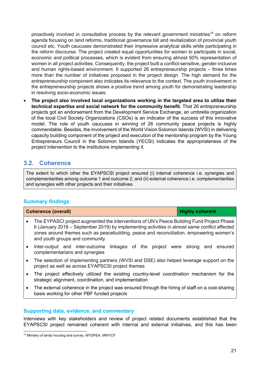proactively involved in consultative process by the relevant government ministries<sup>14</sup> on reform agenda focusing on land reforms, traditional governance bill and revitalization of provincial youth council etc. Youth caucuses demonstrated their impressive analytical skills while participating in the reform discourse. The project created equal opportunities for women to participate in social, economic and political processes, which is evident from ensuring almost 50% representation of women in all project activities. Consequently, the project built a conflict-sensitive, gender-inclusive and human rights-based environment. It supported 26 entrepreneurship projects – three times more than the number of initiatives proposed in the project design. The high demand for the entrepreneurship component also indicates its relevance to the context. The youth involvement in the entrepreneurship projects shows a positive trend among youth for demonstrating leadership in resolving socio-economic issues.

• **The project also involved local organizations working in the targeted area to utilize their technical expertise and social network for the community benefit.** That 26 entrepreneurship projects got an endorsement from the Development Service Exchange, an umbrella organization of the local Civil Society Organizations (CSOs) is an indicator of the success of this innovative model. The role of youth caucuses in winning of 26 community peace projects is highly commendable. Besides, the involvement of the World Vision Solomon Islands (WVSI) in delivering capacity building component of the project and execution of the mentorship program by the Young Entrepreneurs Council in the Solomon Islands (YECSI) indicates the appropriateness of the project intervention to the institutions implementing it.

## **3.2. Coherence**

The extent to which other the EYAPSCSI project ensured (i) internal coherence i.e. synergies and complementarities among outcome 1 and outcome 2; and (ii) external coherence i.e. complementarities and synergies with other projects and their initiatives.

#### **Summary findings**

| <b>Coherence (overall)</b>                                                                                                                                                                                                                                                                                               | <b>Highly coherent</b> |
|--------------------------------------------------------------------------------------------------------------------------------------------------------------------------------------------------------------------------------------------------------------------------------------------------------------------------|------------------------|
| The EYPASCI project augmented the interventions of UN's Peace Building Fund Project Phase<br>II (January 2018 – September 2019) by implementing activities in almost same conflict affected<br>zones around themes such as peacebuilding, peace and reconciliation, empowering women's<br>and youth groups and community |                        |

- Inter-output and inter-outcome linkages of the project were strong and ensured complementarians and synergies
- The selection of implementing partners (WVSI and DSE) also helped leverage support on the project as well as across EYAPSCSI project themes
- The project effectively utilized the existing country-level coordination mechanism for the strategic alignment, coordination, and implementation
- The external coherence in the project was ensured through the hiring of staff on a cost-sharing basis working for other PBF funded projects

#### **Supporting data, evidence, and commentary**

Interviews with key stakeholders and review of project related documents established that the EYAPSCSI project remained coherent with internal and external initiatives, and this has been

<sup>&</sup>lt;sup>14</sup> Ministry of lands housing and survey, MTGPEA, MWYCF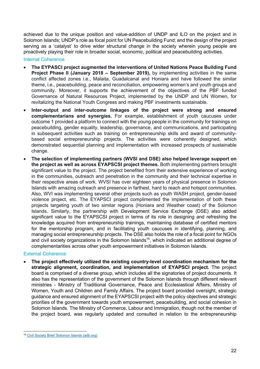achieved due to the unique position and value-addition of UNDP and ILO on the project and in Solomon Islands; UNDP's role as focal point for UN Peacebuilding Fund; and the design of the project serving as a 'catalyst' to drive wider structural change in the society wherein young people are proactively playing their role in broader social, economic, political and peacebuilding activities.

#### Internal Coherence

- **The EYPASCI project augmented the interventions of United Nations Peace Building Fund Project Phase II (January 2018 – September 2019),** by implementing activities in the same conflict affected zones i.e., Malaita, Guadalcanal and Honiara and have followed the similar theme, i.e., peacebuilding, peace and reconciliation, empowering women's and youth groups and community. Moreover, it supports the achievement of the objectives of the PBF funded Governance of Natural Resources Project, implemented by the UNDP and UN Women, for revitalizing the National Youth Congress and making PBF investments sustainable.
- **Inter-output and inter-outcome linkages of the project were strong and ensured complementarians and synergies.** For example, establishment of youth caucuses under outcome 1 provided a platform to connect with the young people in the community for trainings on peacebuilding, gender equality, leadership, governance, and communications, and participating in subsequent activities such as training on entrepreneurship skills and award of communitybased social entrepreneurship projects. The activities were coherently designed, which demonstrated sequential planning and implementation with increased prospects of sustainable change.
- **The selection of implementing partners (WVSI and DSE) also helped leverage support on the project as well as across EYAPSCSI project themes.** Both implementing partners brought significant value to the project. The project benefited from their extensive experience of working in the communities, outreach and penetration in the community and their technical expertise in their respective areas of work. WVSI has over eighteen years of physical presence in Solomon Islands with amazing outreach and presence in farthest, hard to reach and hotspot communities. Also, WVI was implementing several other projects such as youth WASH project, gender-based violence project, etc. The EYAPSCI project complimented the implementation of both these projects targeting youth of two similar regions (Honiara and Weather coast) of the Solomon Islands. Similarly, the partnership with Development Service Exchange (DSE) also added significant value to the EYAPSCSI project in terms of its role in designing and refreshing the knowledge acquired from entrepreneurship trainings, maintaining database of certified mentors for the mentorship program, and in facilitating youth caucuses in identifying, planning, and managing social entrepreneurship projects. The DSE also holds the role of a focal point for NGOs and civil society organizations in the Solomon Islands<sup>15</sup>, which indicated an additional degree of complementarities across other youth empowerment initiatives in Solomon Islands.

#### External Coherence

• **The project effectively utilized the existing country-level coordination mechanism for the strategic alignment, coordination, and implementation of EYAPSCI project.** The project board is comprised of a diverse group, which includes all the signatories of project documents. It also has the representation of the government of the Solomon Islands through different relevant ministries - Ministry of Traditional Governance, Peace and Ecclesiastical Affairs, Ministry of Women, Youth and Children and Family Affairs. The project board provided oversight, strategic guidance and ensured alignment of the EYAPSCSI project with the policy objectives and strategic priorities of the government towards youth empowerment, peacebuilding, and social cohesion in Solomon Islands. The Ministry of Commerce, Labour and Immigration, though not the member of the project board, was regularly updated and consulted in relation to the entrepreneurship

<sup>15</sup> Civil Society Brief: Solomon Islands (adb.org)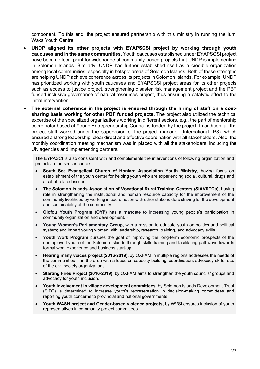component. To this end, the project ensured partnership with this ministry in running the Iumi Waka Youth Centre.

- **UNDP aligned its other projects with EYAPSCSI project by working through youth caucuses and in the same communities.** Youth caucuses established under EYAPSCSI project have become focal point for wide range of community-based projects that UNDP is implementing in Solomon Islands. Similarly, UNDP has further established itself as a credible organization among local communities, especially in hotspot areas of Solomon Islands. Both of these strengths are helping UNDP achieve coherence across its projects in Solomon Islands. For example, UNDP has prioritized working with youth caucuses and EYAPSCSI project areas for its other projects such as access to justice project, strengthening disaster risk management project and the PBF funded inclusive governance of natural resources project, thus ensuring a catalytic effect to the initial intervention.
- The external coherence in the project is ensured through the hiring of staff on a cost**sharing basis working for other PBF funded projects.** The project also utilized the technical expertise of the specialized organizations working in different sectors, e.g., the part of mentorship coordinator based at Young Entrepreneurship Council is funded by the project. In addition, all the project staff worked under the supervision of the project manager (International, P3), which ensured a strong leadership, clear direct and effective coordination with all stakeholders. Also, the monthly coordination meeting mechanism was in placed with all the stakeholders, including the UN agencies and implementing partners.

The EYPASCI is also consistent with and complements the interventions of following organization and projects in the similar context.

- **South Sea Evangelical Church of Honiara Association Youth Ministry,** having focus on establishment of the youth center for helping youth who are experiencing social, cultural, drugs and alcohol-related issues.
- **The Solomon Islands Association of Vocational Rural Training Centers (SIAVRTCs),** having role in strengthening the institutional and human resource capacity for the improvement of the community livelihood by working in coordination with other stakeholders striving for the development and sustainability of the community.
- **Olofou Youth Program (OYP)** has a mandate to increasing young people's participation in community organization and development. ·
- **Young Women's Parliamentary Group,** with a mission to educate youth on politics and political system; and impart young women with leadership, research, training, and advocacy skills.
- **Youth Work Program** pursues the goal of improving the long-term economic prospects of the unemployed youth of the Solomon Islands through skills training and facilitating pathways towards formal work experience and business start-up.
- **Hearing many voices project (2016-2019),** by OXFAM in multiple regions addresses the needs of the communities in in the area with a focus on capacity building, coordination, advocacy skills, etc. of the civil society organizations.
- **Starting Fires Project (2016-2019),** by OXFAM aims to strengthen the youth councils/ groups and advocacy for youth inclusion.
- **Youth involvement in village development committees,** by Solomon Islands Development Trust (SIDT) is determined to increase youth's representation in decision-making committees and reporting youth concerns to provincial and national governments.
- **Youth WASH project and Gender-based violence projects,** by WVSI ensures inclusion of youth representatives in community project committees.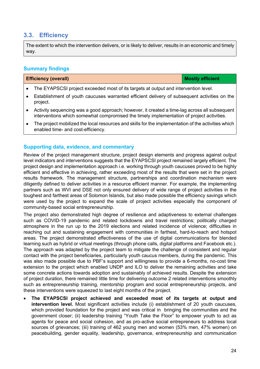## **3.3. Efficiency**

The extent to which the intervention delivers, or is likely to deliver, results in an economic and timely way.

#### **Summary findings**

| <b>Efficiency (overall)</b> | <b>Mostly efficient</b> |
|-----------------------------|-------------------------|
|-----------------------------|-------------------------|

- The EYAPSCSI project exceeded most of its targets at output and intervention level.
- Establishment of youth caucuses warranted efficient delivery of subsequent activities on the project.
- Activity sequencing was a good approach; however, it created a time-lag across all subsequent interventions which somewhat compromised the timely implementation of project activities.
- The project mobilized the local resources and skills for the implementation of the activities which enabled time- and cost-efficiency.

#### **Supporting data, evidence, and commentary**

Review of the project management structure, project design elements and progress against output level indicators and interventions suggests that the EYAPSCSI project remained largely efficient. The project design and implementation approach i.e. working through youth caucuses proved to be highly efficient and effective in achieving, rather exceeding most of the results that were set in the project results framework. The management structure, partnerships and coordination mechanism were diligently defined to deliver activities in a resource efficient manner. For example, the implementing partners such as WVI and DSE not only ensured delivery of wide range of project activities in the toughest and farthest areas of Solomon Islands, but also made possible the efficiency savings which were used by the project to expand the scale of project activities especially the component of community-based social entrepreneurship.

The project also demonstrated high degree of resilience and adaptiveness to external challenges such as COVID-19 pandemic and related lockdowns and travel restrictions; politically charged atmosphere in the run up to the 2019 elections and related incidence of violence; difficulties in reaching out and sustaining engagement with communities in farthest, hard-to-reach and hotspot areas. The project demonstrated effectiveness of the use of digital communications for blended learning such as hybrid or virtual meetings (through phone calls, digital platforms and Facebook etc.). The approach was adapted by the project team to mitigate the challenge of consistent and regular contact with the project beneficiaries, particularly youth caucus members, during the pandemic. This was also made possible due to PBF's support and willingness to provide a 6-months, no-cost time extension to the project which enabled UNDP and ILO to deliver the remaining activities and take some concrete actions towards adoption and sustainably of achieved results. Despite the extension of project duration, there remained little time for delivering outcome 2 related interventions smoothly such as entrepreneurship training, mentorship program and social entrepreneurship projects, and these interventions were squeezed to last eight months of the project.

• **The EYAPSCSI project achieved and exceeded most of its targets at output and intervention level.** Most significant activities include (i) establishment of 20 youth caucuses, which provided foundation for the project and was critical in bringing the communities and the government closer; (ii) leadership training "Youth Take the Floor" to empower youth to act as agents for peace and social cohesion, and as pro-active social entrepreneurs to address local sources of grievances; (iii) training of 462 young men and women (53% men, 47% women) on peacebuilding, gender equality, leadership, governance, entrepreneurship and communication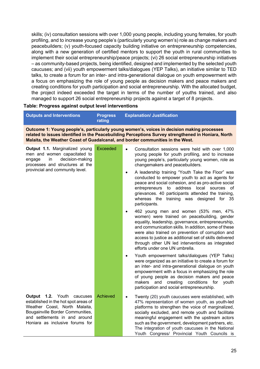skills; (iv) consultation sessions with over 1,000 young people, including young females, for youth profiling, and to increase young people's (particularly young women's) role as change makers and peacebuilders; (v) youth-focused capacity building initiative on entrepreneurship competencies, along with a new generation of certified mentors to support the youth in rural communities to implement their social entrepreneurship/peace projects; (vi) 26 social entrepreneurship initiatives – as community-based projects, being identified, designed and implemented by the selected youth caucuses; and (vii) youth empowerment talks/dialogues (YEP Talks), an initiative similar to TED talks, to create a forum for an inter- and intra-generational dialogue on youth empowerment with a focus on emphasizing the role of young people as decision makers and peace makers and creating conditions for youth participation and social entrepreneurship. With the allocated budget, the project indeed exceeded the target in terms of the number of youths trained, and also managed to support 26 social entrepreneurship projects against a target of 8 projects.

#### **Table: Progress against output level interventions**

| Outputs and Interventions                                                                                                                                                                                                                                                           | <b>Progress</b><br>rating | <b>Explanation/ Justification</b> |  |
|-------------------------------------------------------------------------------------------------------------------------------------------------------------------------------------------------------------------------------------------------------------------------------------|---------------------------|-----------------------------------|--|
| Outcome 1: Young people's, particularly young women's, voices in decision making processes<br>related to issues identified in the Peacebuilding Perceptions Survey strengthened in Honiara, North<br>Malaita, the Weather Coast of Guadalcanal, and border communities in the West. |                           |                                   |  |

| Output 1.1. Marginalized young<br>men and women capacitated to<br>decision-making<br>in<br>engage<br>processes and structures at the<br>provincial and community level.                                            | <b>Exceeded</b> | Consultation sessions were held with over 1,000<br>$\bullet$<br>young people for youth profiling, and to increase<br>young people's, particularly young women, role as<br>changemakers and peacebuilders.<br>A leadership training "Youth Take the Floor" was<br>$\bullet$                                                                                                                                                                 |
|--------------------------------------------------------------------------------------------------------------------------------------------------------------------------------------------------------------------|-----------------|--------------------------------------------------------------------------------------------------------------------------------------------------------------------------------------------------------------------------------------------------------------------------------------------------------------------------------------------------------------------------------------------------------------------------------------------|
|                                                                                                                                                                                                                    |                 | conducted to empower youth to act as agents for<br>peace and social cohesion, and as pro-active social<br>entrepreneurs to address local<br>sources of<br>grievances. 40 participants attended the training,<br>whereas the training was designed for 35<br>participants.                                                                                                                                                                  |
|                                                                                                                                                                                                                    |                 | 462 young men and women (53% men, 47%<br>٠<br>women) were trained on peacebuilding, gender<br>equality, leadership, governance, entrepreneurship,<br>and communication skills. In addition, some of these<br>were also trained on prevention of corruption and<br>access to justice as additional set of skills delivered<br>through other UN led interventions as integrated<br>efforts under one UN umbrella.                            |
|                                                                                                                                                                                                                    |                 | Youth empowerment talks/dialogues (YEP Talks)<br>$\bullet$<br>were organized as an initiative to create a forum for<br>an inter- and intra-generational dialogue on youth<br>empowerment with a focus in emphasizing the role<br>of young people as decision makers and peace<br>and creating conditions<br>makers<br>for<br>youth<br>participation and social entrepreneurship.                                                           |
| <b>Output 1.2.</b> Youth caucuses<br>established in the hot spot areas of<br>Weather Coast, North Malaita,<br>Bougainville Border Communities,<br>and settlements in and around<br>Honiara as inclusive forums for | Achieved        | Twenty (20) youth caucuses were established, with<br>$\bullet$<br>47% representation of women youth, as youth-led<br>platforms to strengthen the voice of marginalized,<br>socially excluded, and remote youth and facilitate<br>meaningful engagement with the upstream actors<br>such as the government, development partners, etc.<br>The integration of youth caucuses in the National<br>Youth Congress/ Provincial Youth Councils is |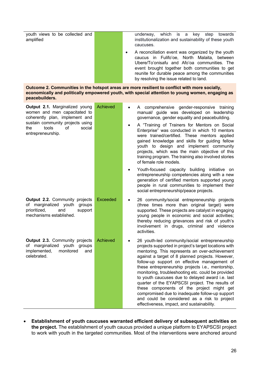youth views to be collected and amplified underway, which is a key step towards institutionalization and sustainability of these youth caucuses. • A reconciliation event was organized by the youth

caucus in Fulifo'oe, North Malaita, between Ubere/To'onisafu and Afo'oa communities. The event brought together both communities to get reunite for durable peace among the communities by resolving the issue related to land.

**Outcome 2. Communities in the hotspot areas are more resilient to conflict with more socially, economically and politically empowered youth, with special attention to young women, engaging as peacebuilders.** 

| Output 2.1. Marginalized young<br>women and men capacitated to<br>coherently plan, implement and<br>sustain community projects using<br>tools<br>of<br>social<br>the<br>entrepreneurship. | Achieved        | A comprehensive gender-responsive training<br>manual/ guide was developed on leadership<br>governance, gender equality and peacebuilding.<br>A "Training of Trainers for Mentors on Social<br>Enterprise" was conducted in which 10 mentors<br>were trained/certified. These mentors applied<br>gained knowledge and skills for guiding fellow<br>youth to design and implement community<br>projects, which was the main objective of this<br>training program. The training also involved stories<br>of female role models.<br>Youth-focused capacity building initiative on<br>entrepreneurship competencies along with a new                                              |
|-------------------------------------------------------------------------------------------------------------------------------------------------------------------------------------------|-----------------|-------------------------------------------------------------------------------------------------------------------------------------------------------------------------------------------------------------------------------------------------------------------------------------------------------------------------------------------------------------------------------------------------------------------------------------------------------------------------------------------------------------------------------------------------------------------------------------------------------------------------------------------------------------------------------|
|                                                                                                                                                                                           |                 | generation of certified mentors supported young<br>people in rural communities to implement their<br>social entrepreneurship/peace projects.                                                                                                                                                                                                                                                                                                                                                                                                                                                                                                                                  |
| <b>Output 2.2.</b> Community projects<br>of marginalized youth<br>groups<br>prioritized,<br>and<br>support<br>mechanisms established.                                                     | <b>Exceeded</b> | 26 community/social entrepreneurship projects<br>(three times more than original target) were<br>supported. These projects are catalyst in engaging<br>young people in economic and social activities;<br>thereby reducing grievances and risk of youth's<br>involvement in drugs, criminal and violence<br>activities.                                                                                                                                                                                                                                                                                                                                                       |
| <b>Output 2.3.</b> Community projects<br>of marginalized youth groups<br>implemented,<br>monitored<br>and<br>celebrated.                                                                  | <b>Achieved</b> | 26 youth-led community/social entrepreneurship<br>projects supported in project's target locations with<br>mentoring. This represents an over-achievement<br>against a target of 8 planned projects. However,<br>follow-up support on effective management of<br>these entrepreneurship projects i.e., mentorship,<br>monitoring, troubleshooting etc. could be provided<br>to youth caucuses due to delayed award i.e. last<br>quarter of the EYAPSCSI project. The results of<br>these components of the project might get<br>compromised due to inadequate follow-up support<br>and could be considered as a risk to project<br>effectiveness, impact, and sustainability. |

• **Establishment of youth caucuses warranted efficient delivery of subsequent activities on the project.** The establishment of youth caucus provided a unique platform to EYAPSCSI project to work with youth in the targeted communities. Most of the interventions were anchored around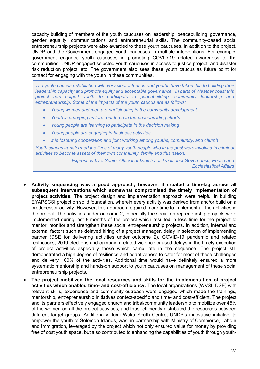capacity building of members of the youth caucuses on leadership, peacebuilding, governance, gender equality, communications and entrepreneurial skills. The community-based social entrepreneurship projects were also awarded to these youth caucuses. In addition to the project, UNDP and the Government engaged youth caucuses in multiple interventions. For example, government engaged youth caucuses in promoting COVID-19 related awareness to the communities; UNDP engaged selected youth caucuses in access to justice project, and disaster risk reduction project, etc. The government also sees these youth caucus as future point for contact for engaging with the youth in these communities.

*The youth caucus established with very clear intention and youths have taken this to building their leadership capacity and promote equity and acceptable governance. In parts of Weather coast this project has helped youth to participate in peacebuilding, community leadership and entrepreneurship. Some of the impacts of the youth caucus are as follows:*

- *Young women and men are participating in the community development*
- *Youth is emerging as forefront force in the peacebuilding efforts*
- *Young people are learning to participate in the decision making*
- *Young people are engaging in business activities*
- *It is fostering cooperation and joint working among youths, community, and church*

*Youth caucus transformed the lives of many youth people who in the past were involved in criminal activities to become assets of their own community, family and this nation.*

- *Expressed by a Senior Official at Ministry of Traditional Governance, Peace and Ecclesiastical Affairs*
- **Activity sequencing was a good approach; however, it created a time-lag across all subsequent interventions which somewhat compromised the timely implementation of project activities.** The project design and implementation approach were helpful in building EYAPSCSI project on solid foundation, wherein every activity was derived from and/or build on a predecessor activity. However, this approach required more time to implement all the activities in the project. The activities under outcome 2, especially the social entrepreneurship projects were implemented during last 8-months of the project which resulted in less time for the project to mentor, monitor and strengthen these social entrepreneurship projects. In addition, internal and external factors such as delayed hiring of a project manager, delay in selection of implementing partner (DSE for delivering activities under outcome 2), COVID-19 pandemic and related restrictions, 2019 elections and campaign related violence caused delays in the timely execution of project activities especially those which came late in the sequence. The project still demonstrated a high degree of resilience and adaptiveness to cater for most of these challenges and delivery 100% of the activities. Additional time would have definitely ensured a more systematic mentorship and hands-on support to youth caucuses on management of these social entrepreneurship projects.
- **The project mobilized the local resources and skills for the implementation of project activities which enabled time- and cost-efficiency.** The local organizations (WVSI, DSE) with relevant skills, experience and community-outreach were engaged which made the trainings, mentorship, entrepreneurship initiatives context-specific and time- and cost-efficient. The project and its partners effectively engaged church and tribal/community leadership to mobilize over 45% of the women on all the project activities; and thus, efficiently distributed the resources between different target groups. Additionally, Iumi Waka Youth Centre, UNDP's innovative initiative to empower the youth of Solomon Islands, was, in partnership with Ministry of Commerce, Labour and Immigration, leveraged by the project which not only ensured value for money by providing free of cost youth space, but also contributed to enhancing the capabilities of youth through youth-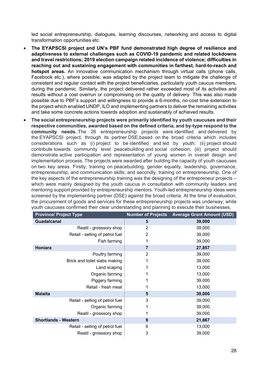led social entrepreneurship, dialogues, learning discourses, networking and access to digital transformation opportunities etc.

- **The EYAPSCSI project and UN's PBF fund demonstrated high degree of resilience and adaptiveness to external challenges such as COVID-19 pandemic and related lockdowns and travel restrictions; 2019 election campaign related incidence of violence; difficulties in reaching out and sustaining engagement with communities in farthest, hard-to-reach and hotspot areas.** An innovative communication mechanism through virtual calls (phone calls, Facebook etc.), where possible, was adapted by the project team to mitigate the challenge of consistent and regular contact with the project beneficiaries, particularly youth caucus members, during the pandemic. Similarly, the project delivered rather exceeded most of its activities and results without a cost overrun or compromising on the quality of delivery. This was also made possible due to PBF's support and willingness to provide a 6-months, no-cost time extension to the project which enabled UNDP, ILO and implementing partners to deliver the remaining activities and take some concrete actions towards adoption and sustainably of achieved results.
- **The social entrepreneurship projects were primarily identified by youth caucuses and their respective communities, awarded based on the defined criteria, and by-type respond to the community needs.** The 26 entrepreneurship projects were identified and delivered by the EYAPSCSI project, through its partner DSE,based on the broad criteria which includes considerations such as (i) project to be identified and led by youth; (ii) project should contribute towards community level peacebuilding and social cohesion; (iii) project should demonstrate active participation and representation of young women in overall design and implementation process. The projects were awarded after building the capacity of youth caucuses on two key areas. Firstly, training on peacebuilding, gender equality, leadership, governance, entrepreneurship, and communication skills; and secondly, training on entrepreneurship. One of the key aspects of the entrepreneurship training was the designing of the entrepreneur projects – which were mainly designed by the youth caucus in consultation with community leaders and mentoring support provided by entrepreneurship mentors. Youth-led entrepreneurship ideas were screened by the implementing partner (DSE) against the broad criteria. At the time of evaluation, the procurement of goods and services for these entrepreneurship projects was underway; while youth caucuses confirmed their clear understanding and planning to execute their businesses.

| <b>Province/ Project Type</b>   |   | <b>Number of Projects Average Grant Amount (USD)</b> |
|---------------------------------|---|------------------------------------------------------|
| <b>Guadalcanal</b>              | 5 | 39,000                                               |
| Reatil - grosssory shop         | 2 | 39,000                                               |
| Retail - selling of petrol fuel | 2 | 39,000                                               |
| Fish farming                    |   | 39,000                                               |
| Honiara                         | 7 | 27,857                                               |
| Poultry farming                 | 2 | 39,000                                               |
| Brick and toilet slabs making   |   | 39,000                                               |
| Land scaping                    |   | 13,000                                               |
| Organic farming                 |   | 13,000                                               |
| Piggery farming                 |   | 39,000                                               |
| Retail - fresh meat             |   | 13,000                                               |
| <b>Malaita</b>                  | 5 | 39,000                                               |
| Retail - selling of petrol fuel | 3 | 39,000                                               |
| Organic farming                 |   | 39,000                                               |
| Reatil - grosssory shop         |   | 39,000                                               |
| <b>Shortlands - Western</b>     | 9 | 21,667                                               |
| Retail - selling of petrol fuel | 6 | 13,000                                               |
| Reatil - grosssory shop         | 3 | 39,000                                               |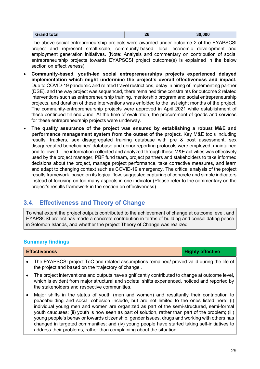| <b>Grand total</b> | 26 | 30,000 |
|--------------------|----|--------|
|--------------------|----|--------|

The above social entrepreneurship projects were awarded under outcome 2 of the EYAPSCSI project and represent small-scale, community-based, local economic development and employment generation initiatives. (Note: Analysis and commentary on contribution of social entrepreneurship projects towards EYAPSCSI project outcome(s) is explained in the below section on effectiveness).

- **Community-based, youth-led social entrepreneurships projects experienced delayed implementation which might undermine the project's overall effectiveness and impact.**  Due to COVID-19 pandemic and related travel restrictions, delay in hiring of implementing partner (DSE), and the way project was sequenced, there remained time constraints for outcome 2 related interventions such as entrepreneurship training, mentorship program and social entrepreneurship projects, and duration of these interventions was enfolded to the last eight months of the project. The community-entrepreneurship projects were approved in April 2021 while establishment of these continued till end June. At the time of evaluation, the procurement of goods and services for these entrepreneurship projects were underway.
- **The quality assurance of the project was ensured by establishing a robust M&E and performance management system from the outset of the project.** Key M&E tools including results' trackers, sex disaggregated training database with pre & post assessment, sex disaggregated beneficiaries' database and donor reporting protocols were employed, maintained and followed. The information collected and analyzed through these M&E activities was effectively used by the project manager, PBF fund team, project partners and stakeholders to take informed decisions about the project, manage project performance, take corrective measures, and learn and adapt to changing context such as COVID-19 emergency. The critical analysis of the project results framework, based on its logical flow, suggested capturing of concrete and simple indicators instead of focusing on too many aspects in one indicator (Please refer to the commentary on the project's results framework in the section on effectiveness).

## **3.4. Effectiveness and Theory of Change**

To what extent the project outputs contributed to the achievement of change at outcome level, and EYAPSCSI project has made a concrete contribution in terms of building and consolidating peace in Solomon Islands, and whether the project Theory of Change was realized.

### **Summary findings**

**Effectiveness Highly effective** 

- The EYAPSCSI project ToC and related assumptions remained/ proved valid during the life of the project and based on the 'trajectory of change'.
- The project interventions and outputs have significantly contributed to change at outcome level, which is evident from major structural and societal shifts experienced, noticed and reported by the stakeholders and respective communities.
- Major shifts in the status of youth (men and women) and resultantly their contribution to peacebuilding and social cohesion include, but are not limited to the ones listed here: (i) individual young men and women are organized as part of the semi-structured, semi-formal youth caucuses; (ii) youth is now seen as part of solution, rather than part of the problem; (iii) young people's behavior towards citizenship, gender issues, drugs and working with others has changed in targeted communities; and (iv) young people have started taking self-initiatives to address their problems, rather than complaining about the situation.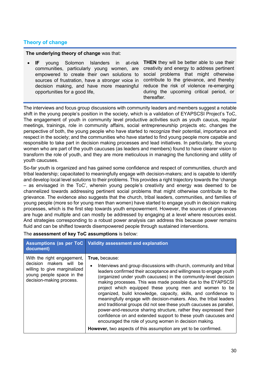### **Theory of change**

**The underlying theory of change** was that:

• **IF** young Solomon Islanders in at-risk communities, particularly young women, are empowered to create their own solutions to sources of frustration, have a stronger voice in decision making, and have more meaningful opportunities for a good life,

**THEN** they will be better able to use their creativity and energy to address pertinent social problems that might otherwise contribute to the grievance, and thereby reduce the risk of violence re-emerging during the upcoming critical period, or thereafter.

The interviews and focus group discussions with community leaders and members suggest a notable shift in the young people's position in the society, which is a validation of EYAPSCSI Project's ToC, The engagement of youth in community level productive activities such as youth caucus, regular meetings, trainings, role in community affairs, social entrepreneurship projects etc. changes the perspective of both, the young people who have started to recognize their potential, importance and respect in the society; and the communities who have started to find young people more capable and responsible to take part in decision making processes and lead initiatives. In particularly, the young women who are part of the youth caucuses (as leaders and members) found to have clearer vision to transform the role of youth, and they are more meticulous in managing the functioning and utility of youth caucuses.

So-far youth is organized and has gained some confidence and respect of communities, church and tribal leadership; capacitated to meaningfully engage with decision-makers; and is capable to identify and develop local level solutions to their problems. This provides a right trajectory towards the 'change – as envisaged in the ToC', wherein young people's creativity and energy was deemed to be channelized towards addressing pertinent social problems that might otherwise contribute to the grievance. The evidence also suggests that the church, tribal leaders, communities, and families of young people (more so for young men than women) have started to engage youth in decision making processes, which is the first step towards youth empowerment. However, the sources of grievances are huge and multiple and can mostly be addressed by engaging at a level where resources exist. And strategies corresponding to a robust power analysis can address this because power remains fluid and can be shifted towards disempowered people through sustained interventions.

The **assessment of key ToC assumptions** is below:

| document)                                                                                                                                      | Assumptions (as per ToC   Validity assessment and explanation                                                                                                                                                                                                                                                                                                                                                                                                                                                                                                                                                                                                                                                                                                                           |
|------------------------------------------------------------------------------------------------------------------------------------------------|-----------------------------------------------------------------------------------------------------------------------------------------------------------------------------------------------------------------------------------------------------------------------------------------------------------------------------------------------------------------------------------------------------------------------------------------------------------------------------------------------------------------------------------------------------------------------------------------------------------------------------------------------------------------------------------------------------------------------------------------------------------------------------------------|
| With the right engagement,<br>decision makers will be<br>willing to give marginalized<br>young people space in the<br>decision-making process. | True, because:<br>Interviews and group discussions with church, community and tribal<br>$\bullet$<br>leaders confirmed their acceptance and willingness to engage youth<br>(organized under youth caucuses) in the community-level decision<br>making processes. This was made possible due to the EYAPSCSI<br>project which equipped these young men and women to be<br>organized, build knowledge, capacity, skills, and confidence to<br>meaningfully engage with decision-makers. Also, the tribal leaders<br>and traditional groups did not see these youth caucuses as parallel,<br>power-and-resource sharing structure, rather they expressed their<br>confidence on and extended support to these youth caucuses and<br>encouraged the role of young women in decision making. |
|                                                                                                                                                | <b>However, two aspects of this assumption are yet to be confirmed.</b>                                                                                                                                                                                                                                                                                                                                                                                                                                                                                                                                                                                                                                                                                                                 |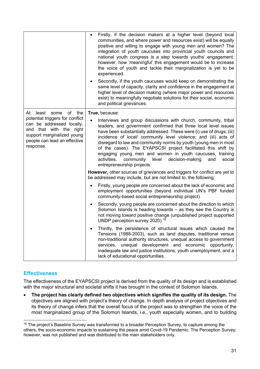|                                                                                                                                                                    | Firstly, if the decision makers at a higher level (beyond local<br>$\bullet$<br>communities, and where power and resources exist) will be equally<br>positive and willing to engage with young men and women? The<br>integration of youth caucuses into provincial youth councils and<br>national youth congress is a step towards youths' engagement;<br>however, how 'meaningful' this engagement would be to increase<br>the voice of youth and tackle their marginalization is yet to be<br>experienced.<br>Secondly, if the youth caucuses would keep on demonstrating the     |
|--------------------------------------------------------------------------------------------------------------------------------------------------------------------|-------------------------------------------------------------------------------------------------------------------------------------------------------------------------------------------------------------------------------------------------------------------------------------------------------------------------------------------------------------------------------------------------------------------------------------------------------------------------------------------------------------------------------------------------------------------------------------|
|                                                                                                                                                                    | same level of capacity, clarity and confidence in the engagement at<br>higher level of decision making (where major power and resources<br>exist) to meaningfully negotiate solutions for their social, economic<br>and political grievances.                                                                                                                                                                                                                                                                                                                                       |
| At<br>of<br>the<br>least<br>some                                                                                                                                   | True, because:                                                                                                                                                                                                                                                                                                                                                                                                                                                                                                                                                                      |
| potential triggers for conflict<br>can be addressed locally,<br>and that with the right<br>support marginalized young<br>people can lead an effective<br>response. | Interviews and group discussions with church, community, tribal<br>leaders, and government confirmed that three local level issues<br>have been substantially addressed. These were (i) use of drugs; (iii)<br>incidence of local/ community level violence; and (iii) acts of<br>disregard to law and community norms by youth (young men in most<br>of the cases). The EYAPSCSI project facilitated this shift by<br>engaging young men and women in youth caucuses, training<br>activities,<br>community level<br>decision-making<br>social<br>and<br>entrepreneurship projects. |
|                                                                                                                                                                    | However, other sources of grievances and triggers for conflict are yet to<br>be addressed may include, but are not limited to, the following:                                                                                                                                                                                                                                                                                                                                                                                                                                       |
|                                                                                                                                                                    | Firstly, young people are concerned about the lack of economic and<br>$\bullet$<br>employment opportunities (beyond individual UN's PBF funded<br>community-based social entrepreneurship project)                                                                                                                                                                                                                                                                                                                                                                                  |
|                                                                                                                                                                    | Secondly, young people are concerned about the direction to which<br>$\bullet$<br>Solomon Islands is heading towards - as they see the Country is<br>not moving toward positive change (unpublished project supported<br>UNDP perception survey 2020) <sup>16</sup>                                                                                                                                                                                                                                                                                                                 |
|                                                                                                                                                                    | Thirdly, the persistence of structural issues which caused the<br>$\bullet$<br>Tensions (1988-2003), such as land disputes, traditional versus<br>non-traditional authority structures, unequal access to government<br>unequal development and economic opportunity,<br>services,<br>inadequate law and justice institutions, youth unemployment, and a<br>lack of educational opportunities.                                                                                                                                                                                      |

### **Effectiveness**

The effectiveness of the EYAPSCSI project is derived from the quality of its design and is established with the major structural and societal shifts it has brought in the context of Solomon Islands.

• **The project has clearly defined two objectives which signifies the quality of its design.** The objectives are aligned with project's theory of change. In depth analysis of project objectives and its theory of change infers that the overall focus of the project was to strengthen the voice of the most marginalized group of the Solomon Islands, i.e., youth especially women, and to building

<sup>&</sup>lt;sup>16</sup> The project's Baseline Survey was transformed to a broader Perception Survey, to capture among the others, the socio-economic impacts to sustaining the peace amid Covid-19 Pandemic. The Perception Survey; however, was not published and was distributed to the main stakeholders only.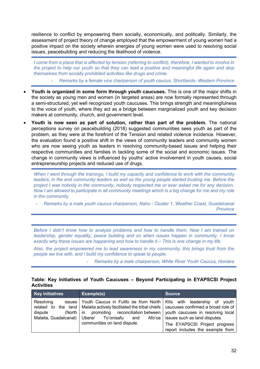resilience to conflict by empowering them socially, economically, and politically. Similarly, the assessment of project theory of change employed that the empowerment of young women had a positive impact on the society wherein energies of young women were used to resolving social issues, peacebuilding and reducing the likelihood of violence.

*I* come from a place that is affected by tension (referring to conflict), therefore, *I* wanted to involve in *the project to help our youth so that they can lead a positive and meaningful life again and stop themselves from socially prohibited activities like drugs and crime.*

- *Remarks by a female vice chairperson of youth caucus, Shortlands- Western Province*

- **Youth is organized in some form through youth caucuses.** This is one of the major shifts in the society as young men and women (in targeted areas) are now formally represented through a semi-structured, yet well recognized youth caucuses. This brings strength and meaningfulness to the voice of youth, where they act as a bridge between marginalized youth and key decision makers at community, church, and government level.
- **Youth is now seen as part of solution, rather than part of the problem.** The national perceptions survey on peacebuilding (2018) suggested communities sees youth as part of the problem, as they were at the forefront of the Tension and related violence incidence. However, the evaluation found a positive shift in the views of community leaders and community women who are now seeing youth as leaders in resolving community-based issues and helping their respective communities and families in tackling some of the social and economic issues. The change in community views is influenced by youths' active involvement in youth causes, social entrepreneurship projects and reduced use of drugs.

*When I went through the trainings, I build my capacity and confidence to work with the community leaders, in the end community leaders as well as the young people started trusting me. Before the project I was nobody in the community, nobody respected me or ever asked me for any decision. Now I am allowed to participate in all community meetings which is a big change for me and my role in the community.*

- *Remarks by a male youth caucus chairperson, Naho - Cluster 1, Weather Coast, Guadalcanal Province*

*Before I didn't know how to analyze problems and how to handle them. Now I am trained on leadership, gender equality, peace building and so when issues happen in community, I know exactly why these issues are happening and how to handle it – This is one change in my life.* 

*Also, the project empowered me to lead awareness in my community, this brings trust from the people we live with, and I build my confidence to speak to people.*

- *Remarks by a male chairperson, White River Youth Caucus, Honiara*

#### **Table: Key Initiatives of Youth Caucuses – Beyond Participating in EYAPSCSI Project Activities**

| <b>Key initiatives</b> | Example(s)                                                                                                                                                                                                                                                                                                                                                     | <b>Source</b>                                                                                      |  |
|------------------------|----------------------------------------------------------------------------------------------------------------------------------------------------------------------------------------------------------------------------------------------------------------------------------------------------------------------------------------------------------------|----------------------------------------------------------------------------------------------------|--|
| Resolving<br>dispute   | issues Youth Caucus in Fulifo óe from North   KIIs with leadership of youth<br>related to the land   Malaita actively facilitated the tribal chiefs   caucuses confirmed a broad role of<br>(North in promoting reconciliation between youth caucuses in resolving local<br>Malaita, Guadalcanal) Ubere/ To'onisafu and Afo'oa<br>communities on land dispute. | issues such as land disputes.<br>The EYAPSCSI Project progress<br>report includes the example from |  |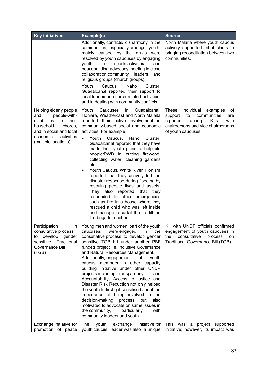| <b>Key initiatives</b>                                                                                                                                                            | Example(s)                                                                                                                                                                                                                                                                                                                                                                                                                                                                                                                                                                                                                                                                                                                                                                                            | <b>Source</b>                                                                                                                                                                         |  |
|-----------------------------------------------------------------------------------------------------------------------------------------------------------------------------------|-------------------------------------------------------------------------------------------------------------------------------------------------------------------------------------------------------------------------------------------------------------------------------------------------------------------------------------------------------------------------------------------------------------------------------------------------------------------------------------------------------------------------------------------------------------------------------------------------------------------------------------------------------------------------------------------------------------------------------------------------------------------------------------------------------|---------------------------------------------------------------------------------------------------------------------------------------------------------------------------------------|--|
|                                                                                                                                                                                   | Additionally, conflicts/ disharmony in the<br>communities, especially amongst youth,<br>mainly caused by the drugs were<br>resolved by youth caucuses by engaging<br>in<br>sports activities<br>youth<br>and<br>peacebuilding advocacy meeting in close<br>collaboration community leaders<br>and<br>religious groups (church groups).<br>Youth<br>Caucus,<br>Naho<br>Cluster,<br>Guadalcanal reported their support to<br>local leaders in church related activities,<br>and in dealing with community conflicts.                                                                                                                                                                                                                                                                                    | North Malaita where youth caucus<br>actively supported tribal chiefs in<br>bringing reconciliation between two<br>communities.                                                        |  |
| Helping elderly people<br>people-with-<br>and<br>disabilities<br>in<br>their<br>household<br>chores,<br>and in social and local<br>economic<br>activities<br>(multiple locations) | Youth<br>Caucuses<br>Guadalcanal,<br>in.<br>Honiara, Weathercast and North Malaita<br>reported their active involvement in<br>community-based social and economic<br>activities. For example.<br>Youth<br>Caucus,<br>Naho<br>Cluster,<br>$\bullet$<br>Guadalcanal reported that they have<br>made their youth plans to help old<br>people/PWD in cutting firewood,<br>collecting water, cleaning gardens<br>etc.<br>Youth Caucus, White River, Honiara<br>٠<br>reported that they actively led the<br>disaster response during flooding by<br>rescuing people lives and assets.<br>They also reported<br>that they<br>responded to other emergencies<br>such as fire in a house where they<br>rescued a child who was left inside<br>and manage to curtail the fire till the<br>fire brigade reached. | <b>These</b><br>individual<br>examples<br>οf<br>communities<br>to<br>support<br>are<br>reported<br>Klls<br>with<br>during<br>chairpersons and vice chairpersons<br>of youth caucuses. |  |
| Participation<br>in<br>consultative process<br>develop gender<br>to<br>Traditional<br>sensitive<br>Governance Bill<br>(TGB)                                                       | Young men and women, part of the youth  <br>the<br>caucuses,<br>were engaged<br>in<br>consultative process to develop gender<br>sensitive TGB bill under another PBF<br>funded project i.e. Inclusive Governance<br>and Natural Resources Management.<br>Additionally, engagement<br>of<br>youth<br>caucus members in other capacity<br>building initiative under other UNDP<br>projects including Transparency<br>and<br>Accountability, Access to justice and<br>Disaster Risk Reduction not only helped<br>the youth to first get sensitised about the<br>importance of being involved in the<br>decision-making<br>process<br>but<br>also<br>motivated to advocate on same issues in<br>the community,<br>particularly<br>with<br>community leaders and youth.                                    | KII with UNDP officials confirmed<br>engagement of youth caucuses in<br>consultative<br>the<br>process<br>on<br>Traditional Governance Bill (TGB).                                    |  |
| Exchange initiative for<br>promotion of peace                                                                                                                                     | The<br>initiative for<br>youth<br>exchange<br>youth caucus leader was also a unique                                                                                                                                                                                                                                                                                                                                                                                                                                                                                                                                                                                                                                                                                                                   | This was<br>project supported<br>a<br>initiative; however, its impact was                                                                                                             |  |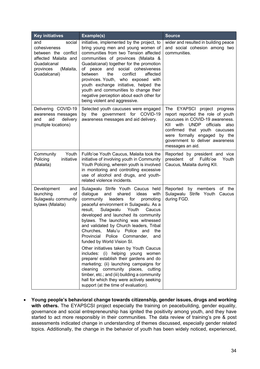| <b>Key initiatives</b>                                                                                                                 | Example(s)                                                                                                                                                                                                                                                                                                                                                                                                                                                                                                                                                                                                                                                                                                                                                                                                              | <b>Source</b>                                                                                                                                                                                                                                                                   |
|----------------------------------------------------------------------------------------------------------------------------------------|-------------------------------------------------------------------------------------------------------------------------------------------------------------------------------------------------------------------------------------------------------------------------------------------------------------------------------------------------------------------------------------------------------------------------------------------------------------------------------------------------------------------------------------------------------------------------------------------------------------------------------------------------------------------------------------------------------------------------------------------------------------------------------------------------------------------------|---------------------------------------------------------------------------------------------------------------------------------------------------------------------------------------------------------------------------------------------------------------------------------|
| and<br>social<br>cohesiveness<br>between the conflict<br>affected Malaita and<br>Guadalcanal<br>(Malaita,<br>provinces<br>Guadalcanal) | initiative, implemented by the project, to<br>bring young men and young women of<br>communities from two Tension affected<br>communities of provinces (Malaita &<br>Guadalcanal) together for the promotion<br>social cohesiveness<br>and<br>of peace<br>between<br>the<br>conflict<br>affected<br>provinces. Youth, who exposed with<br>youth exchange initiative, helped the<br>youth and communities to change their<br>negative perception about each other for<br>being violent and aggressive.                                                                                                                                                                                                                                                                                                                    | wider and resulted in building peace<br>and social cohesion among two<br>communities.                                                                                                                                                                                           |
| Delivering COVID-19<br>awareness messages<br>aid<br>delivery<br>and<br>(multiple locations)                                            | Selected youth caucuses were engaged<br>by the government for COVID-19<br>awareness messages and aid delivery.                                                                                                                                                                                                                                                                                                                                                                                                                                                                                                                                                                                                                                                                                                          | The EYAPSCI project progress<br>report reported the role of youth<br>caucuses in COVID-19 awareness.<br>officials<br>KII<br>with<br><b>UNDP</b><br>also<br>confirmed that youth caucuses<br>were formally engaged by the<br>government to deliver awareness<br>messages an aid. |
| Youth<br>Community<br>initiative<br>Policing<br>(Malaita)                                                                              | Fulifo'oe Youth Caucus, Malaita took the<br>initiative of involving youth in Community<br>Youth Policing, wherein youth is involved<br>in monitoring and controlling excessive<br>use of alcohol and drugs, and youth-<br>related violence incidents.                                                                                                                                                                                                                                                                                                                                                                                                                                                                                                                                                                   | Reported by president and vice<br>president<br>of Fulifo'oe<br>Youth<br>Caucus, Malaita during KII.                                                                                                                                                                             |
| Development<br>and<br>launching<br>0f<br>Sulagwalu community<br>bylaws (Malaita)                                                       | Sulagwalu Strife Youth Caucus held<br>ideas<br>dialogue<br>and<br>shared<br>with<br>leaders<br>for<br>community<br>promoting<br>peaceful environment in Sulagwalu. As a<br>result,<br>Sulagwalu<br>Youth<br>Caucus<br>developed and launched its community<br>bylaws. The launching was witnessed<br>and validated by Church leaders, Tribal<br>Churches,<br>Malu'u<br>Police<br>the<br>and<br>Provincial<br>Police<br>Commander,<br>and<br>funded by World Vision SI.<br>Other initiatives taken by Youth Caucus<br>includes: (i) helping young women<br>prepare/ establish their gardens and do<br>marketing; (ii) launching campaigns for<br>cleaning community places, cutting<br>timber, etc.; and (iii) building a community<br>hall for which they were actively seeking<br>support (at the time of evaluation). | Reported<br>by members<br>of the<br>Sulagwalu Strife Youth<br>Caucus<br>during FGD.                                                                                                                                                                                             |

• **Young people's behavioral change towards citizenship, gender issues, drugs and working**  with others. The EYAPSCSI project especially the training on peacebuilding, gender equality, governance and social entrepreneurship has ignited the positivity among youth, and they have started to act more responsibly in their communities. The data review of training's pre & post assessments indicated change in understanding of themes discussed, especially gender related topics. Additionally, the change in the behavior of youth has been widely noticed, experienced,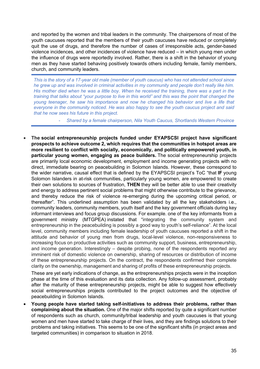and reported by the women and tribal leaders in the community. The chairpersons of most of the youth caucuses reported that the members of their youth caucuses have reduced or completely quit the use of drugs, and therefore the number of cases of irresponsible acts, gender-based violence incidences, and other incidences of violence have reduced – in which young men under the influence of drugs were reportedly involved. Rather, there is a shift in the behavior of young men as they have started behaving positively towards others including female, family members, church, and community leaders.

*This is the story of a 17-year old male (member of youth caucus) who has not attended school since he grew up and was involved in criminal activities in my community and people don't really like him. His mother died when he was a little boy. When he received the training, there was a part in the training that talks about "your purpose to live in this world" and this was the point that changed the young teenager, he saw his importance and now he changed his behavior and live a life that everyone in the community noticed. He was also happy to see the youth caucus project and said that he now sees his future in this project.*

- *Shared by a female chairperson, Nila Youth Caucus, Shortlands Western Province*

• **The social entrepreneurship projects funded under EYAPSCSI project have significant prospects to achieve outcome 2, which requires that the communities in hotspot areas are more resilient to conflict with socially, economically, and politically empowered youth, in particular young women, engaging as peace builders.** The social entrepreneurship projects are primarily local economic development, employment and income generating projects with no direct, immediate bearing on peacebuilding in Solomon Islands. However, these correspond to the wider narrative, causal effect that is defined by the EYAPSCSI project's ToC "that **IF** young Solomon Islanders in at-risk communities, particularly young women, are empowered to create their own solutions to sources of frustration, **THEN** they will be better able to use their creativity and energy to address pertinent social problems that might otherwise contribute to the grievance, and thereby reduce the risk of violence re-emerging during the upcoming critical period, or thereafter". This underlined assumption has been validated by all the key stakeholders i.e., community leaders, community members, youth itself and the key government officials during key informant interviews and focus group discussions. For example. one of the key informants from a government ministry (MTGPEA) instated that "integrating the community system and entrepreneurship in the peacebuilding is possibly a good way to youth's self-reliance". At the local level, community members including female leadership of youth caucuses reported a shift in the attitude and behavior of young men from drugs, local-level violence, non-responsiveness to increasing focus on productive activities such as community support, business, entrepreneurship, and income generation. Interestingly – despite probing, none of the respondents reported any imminent risk of domestic violence on ownership, sharing of resources or distribution of income of these entrepreneurship projects. On the contract, the respondents confirmed their complete clarity on the ownership, management and sharing of profits of these entrepreneurship projects.

These are yet early indications of change, as the entrepreneurships projects were in the inception phase at the time of this evaluation and its data collection. Any follow-up assessment, probably after the maturity of these entrepreneurship projects, might be able to suggest how effectively social entrepreneurships projects contributed to the project outcomes and the objective of peacebuilding in Solomon Islands.

• **Young people have started taking self-initiatives to address their problems, rather than complaining about the situation.** One of the major shifts reported by quite a significant number of respondents such as church, community/tribal leadership and youth caucuses is that young women and men have started to take charge of their lives, and they are findings solutions to their problems and taking initiatives. This seems to be one of the significant shifts (in project areas and targeted communities) in comparison to situation in 2018.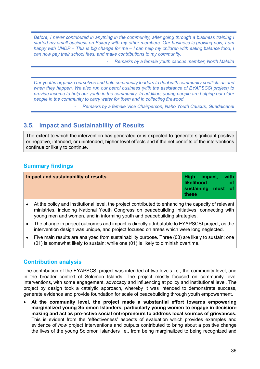*Before, I never contributed in anything in the community, after going through a business training I started my small business on Bakery with my other members. Our business is growing now, I am happy with UNDP – This is big change for me – I can help my children with eating balance food, I can now pay their school fees, and make contributions to my community.* 

- *Remarks by a female youth caucus member, North Malaita*

*Our youths organize ourselves and help community leaders to deal with community conflicts as and when they happen. We also run our petrol business (with the assistance of EYAPSCSI project) to provide income to help our youth in the community. In addition, young people are helping our older people in the community to carry water for them and in collecting firewood.* 

- *Remarks by a female Vice Chairperson, Naho Youth Caucus, Guadalcanal*

## **3.5. Impact and Sustainability of Results**

The extent to which the intervention has generated or is expected to generate significant positive or negative, intended, or unintended, higher-level effects and if the net benefits of the interventions continue or likely to continue.

## **Summary findings**

| Impact and sustainability of results | High impact, with  |  |
|--------------------------------------|--------------------|--|
|                                      | l likelihood       |  |
|                                      | sustaining most of |  |
|                                      | <b>these</b>       |  |

- At the policy and institutional level, the project contributed to enhancing the capacity of relevant ministries, including National Youth Congress on peacebuilding initiatives, connecting with young men and women, and in informing youth and peacebuilding strategies.
- The change in project outcomes and impact is directly attributable to EYAPSCSI project, as the intervention design was unique, and project focused on areas which were long neglected.
- Five main results are analyzed from sustainability purpose. Three (03) are likely to sustain; one (01) is somewhat likely to sustain; while one (01) is likely to diminish overtime.

### **Contribution analysis**

The contribution of the EYAPSCSI project was intended at two levels i.e., the community level, and in the broader context of Solomon Islands. The project mostly focused on community level interventions, with some engagement, advocacy and influencing at policy and institutional level. The project by design took a catalytic approach, whereby it was intended to demonstrate success, generate evidence and provide foundation for scale of peacebuilding through youth empowerment.

• **At the community level, the project made a substantial effort towards empowering marginalized young Solomon Islanders, particularly young women to engage in decisionmaking and act as pro-active social entrepreneurs to address local sources of grievances.** This is evident from the 'effectiveness' aspects of evaluation which provides examples and evidence of *how* project interventions and outputs contributed to bring about a positive change the lives of the young Solomon Islanders i.e., from being marginalized to being recognized and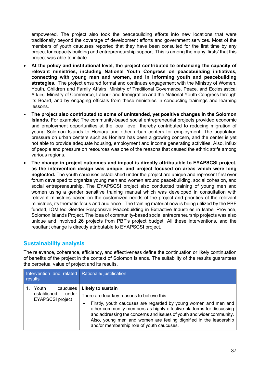empowered. The project also took the peacebuilding efforts into new locations that were traditionally beyond the coverage of development efforts and government services. Most of the members of youth caucuses reported that they have been consulted for the first time by any project for capacity building and entrepreneurship support. This is among the many 'firsts' that this project was able to initiate.

- **At the policy and institutional level, the project contributed to enhancing the capacity of relevant ministries, including National Youth Congress on peacebuilding initiatives, connecting with young men and women, and in informing youth and peacebuilding strategies.** The project ensured formal and continues engagement with the Ministry of Women, Youth, Children and Family Affairs, Ministry of Traditional Governance, Peace, and Ecclesiastical Affairs, Ministry of Commerce, Labour and Immigration and the National Youth Congress through its Board, and by engaging officials from these ministries in conducting trainings and learning lessons.
- **The project also contributed to some of unintended, yet positive changes in the Solomon Islands.** For example: The community-based social entrepreneurial projects provided economic and employment opportunities at the local level, thereby contributed to reducing migration of young Solomon Islands to Honiara and other urban centers for employment. The population pressure on urban centers such as Honiara has been a growing concern, and the center is yet not able to provide adequate housing, employment and income generating activities. Also, influx of people and pressure on resources was one of the reasons that caused the ethnic strife among various regions.
- **The change in project outcomes and impact is directly attributable to EYAPSCSI project, as the intervention design was unique, and project focused on areas which were long neglected.** The youth caucuses established under the project are unique and represent first ever forum developed to organize young men and women around peacebuilding, social cohesion, and social entrepreneurship. The EYAPSCSI project also conducted training of young men and women using a gender sensitive training manual which was developed in consultation with relevant ministries based on the customized needs of the project and priorities of the relevant ministries, its thematic focus and audience. The training material now is being utilized by the PBF funded, IOM led Gender Responsive Peacebuilding in Extractive Industries in Isabel Province, Solomon Islands Project. The idea of community-based social entrepreneurship projects was also unique and involved 26 projects from PBF's project budget. All these interventions, and the resultant change is directly attributable to EYAPSCSI project.

## **Sustainability analysis**

The relevance, coherence, efficiency, and effectiveness define the continuation or likely continuation of benefits of the project in the context of Solomon Islands. The suitability of the results guarantees the perpetual value of project and its results.

| Intervention and related Rationale/justification<br>results          |                                                                                                                                                                                                                                                                                                                                                                                                                   |
|----------------------------------------------------------------------|-------------------------------------------------------------------------------------------------------------------------------------------------------------------------------------------------------------------------------------------------------------------------------------------------------------------------------------------------------------------------------------------------------------------|
| Youth<br>caucuses<br>established<br>under<br><b>EYAPSCSI project</b> | <b>Likely to sustain</b><br>There are four key reasons to believe this.<br>Firstly, youth caucuses are regarded by young women and men and<br>٠<br>other community members as highly effective platforms for discussing<br>and addressing the concerns and issues of youth and wider community.<br>Also, young men and women are feeling dignified in the leadership<br>and/or membership role of youth caucuses. |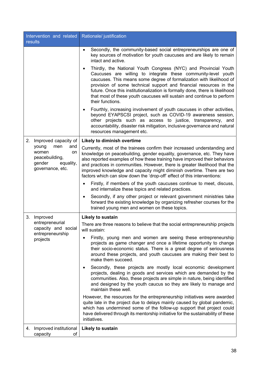| Intervention and related<br>results                                                             | Rationale/ justification                                                                                                                                                                                                                                                                                                                                                                                                                                                |
|-------------------------------------------------------------------------------------------------|-------------------------------------------------------------------------------------------------------------------------------------------------------------------------------------------------------------------------------------------------------------------------------------------------------------------------------------------------------------------------------------------------------------------------------------------------------------------------|
|                                                                                                 | Secondly, the community-based social entrepreneurships are one of<br>$\bullet$<br>key sources of motivation for youth caucuses and are likely to remain<br>intact and active.                                                                                                                                                                                                                                                                                           |
|                                                                                                 | Thirdly, the National Youth Congress (NYC) and Provincial Youth<br>Caucuses are willing to integrate these community-level youth<br>caucuses. This means some degree of formalization with likelihood of<br>provision of some technical support and financial resources in the<br>future. Once this institutionalization is formally done, there is likelihood<br>that most of these youth caucuses will sustain and continue to perform<br>their functions.            |
|                                                                                                 | Fourthly, increasing involvement of youth caucuses in other activities,<br>٠<br>beyond EYAPSCSI project, such as COVID-19 awareness session,<br>other projects such as access to justice, transparency, and<br>accountability, disaster risk mitigation, inclusive governance and natural<br>resources management etc.                                                                                                                                                  |
| 2.<br>Improved capacity of                                                                      | <b>Likely to diminish overtime</b>                                                                                                                                                                                                                                                                                                                                                                                                                                      |
| young<br>men<br>and<br>women<br>on<br>peacebuilding,<br>gender<br>equality,<br>governance, etc. | Currently, most of the trainees confirm their increased understanding and<br>knowledge on peacebuilding, gender equality, governance, etc. They have<br>also reported examples of how these training have improved their behaviors<br>and practices in communities. However, there is greater likelihood that the<br>improved knowledge and capacity might diminish overtime. There are two<br>factors which can slow down the 'drop-off' effect of this interventions: |
|                                                                                                 | Firstly, if members of the youth caucuses continue to meet, discuss,<br>and internalize these topics and related practices.                                                                                                                                                                                                                                                                                                                                             |
|                                                                                                 | Secondly, if any other project or relevant government ministries take<br>٠<br>forward the existing knowledge by organizing refresher courses for the<br>trained young men and women on these topics.                                                                                                                                                                                                                                                                    |
| 3.<br>Improved                                                                                  | <b>Likely to sustain</b>                                                                                                                                                                                                                                                                                                                                                                                                                                                |
| entrepreneurial<br>capacity and social<br>entrepreneurship                                      | There are three reasons to believe that the social entrepreneurship projects<br>will sustain:                                                                                                                                                                                                                                                                                                                                                                           |
| projects                                                                                        | Firstly, young men and women are seeing these entrepreneurship<br>projects as game changer and once a lifetime opportunity to change<br>their socio-economic status. There is a great degree of seriousness<br>around these projects, and youth caucuses are making their best to<br>make them succeed.                                                                                                                                                                 |
|                                                                                                 | Secondly, these projects are mostly local economic development<br>٠<br>projects, dealing in goods and services which are demanded by the<br>communities. Also, these projects are simple in nature, being identified<br>and designed by the youth caucus so they are likely to manage and<br>maintain these well.                                                                                                                                                       |
|                                                                                                 | However, the resources for the entrepreneurship initiatives were awarded<br>quite late in the project due to delays mainly caused by global pandemic,<br>which has undermined some of the follow-up support that project could<br>have delivered through its mentorship initiative for the sustainability of these<br>initiatives.                                                                                                                                      |
| Improved institutional<br>4.<br>capacity<br>οf                                                  | <b>Likely to sustain</b>                                                                                                                                                                                                                                                                                                                                                                                                                                                |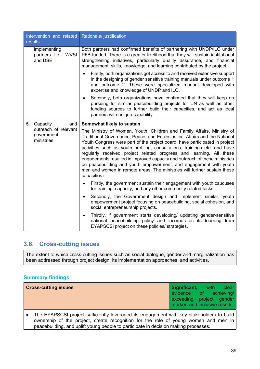| Intervention and related<br>results                                    | Rationale/ justification                                                                                                                                                                                                                                                                                                                                                                                                                                                                                                                                                                                                                                                |
|------------------------------------------------------------------------|-------------------------------------------------------------------------------------------------------------------------------------------------------------------------------------------------------------------------------------------------------------------------------------------------------------------------------------------------------------------------------------------------------------------------------------------------------------------------------------------------------------------------------------------------------------------------------------------------------------------------------------------------------------------------|
| implementing<br>partners i.e., WVSI<br>and DSE                         | Both partners had confirmed benefits of partnering with UNDP/ILO under<br>PFB funded. There is a greater likelihood that they will sustain institutional<br>strengthening initiatives, particularly quality assurance, and financial<br>management, skills, knowledge, and learning contributed by the project.                                                                                                                                                                                                                                                                                                                                                         |
|                                                                        | Firstly, both organizations got access to and received extensive support<br>in the designing of gender sensitive training manuals under outcome 1<br>and outcome 2. These were specialized manual developed with<br>expertise and knowledge of UNDP and ILO.                                                                                                                                                                                                                                                                                                                                                                                                            |
|                                                                        | Secondly, both organizations have confirmed that they will keep on<br>pursuing for similar peacebuilding projects for UN as well as other<br>funding sources to further build their capacities, and act as local<br>partners with unique capability.                                                                                                                                                                                                                                                                                                                                                                                                                    |
| 5. Capacity<br>and<br>outreach of relevant<br>government<br>ministries | Somewhat likely to sustain<br>The Ministry of Women, Youth, Children and Family Affairs, Ministry of<br>Traditional Governance, Peace, and Ecclesiastical Affairs and the National<br>Youth Congress were part of the project board, have participated in project<br>activities such as youth profiling, consultations, trainings etc. and have<br>regularly received project related progress and learning. All these<br>engagements resulted in improved capacity and outreach of these ministries<br>on peacebuilding and youth empowerment, and engagement with youth<br>men and women in remote areas. The ministries will further sustain these<br>capacities if: |
|                                                                        | Firstly, the government sustain their engagement with youth caucuses<br>for training, capacity, and any other community related tasks.                                                                                                                                                                                                                                                                                                                                                                                                                                                                                                                                  |
|                                                                        | Secondly, the Government design and implement similar, youth<br>$\bullet$<br>empowerment project focusing on peacebuilding, social cohesion, and<br>social entrepreneurship projects.                                                                                                                                                                                                                                                                                                                                                                                                                                                                                   |
|                                                                        | Thirdly, if government starts developing/ updating gender-sensitive<br>$\bullet$<br>national peacebuilding policy and incorporates its learning from<br>EYAPSCSI project on these policies/ strategies.                                                                                                                                                                                                                                                                                                                                                                                                                                                                 |

## **3.6. Cross-cutting issues**

The extent to which cross-cutting issues such as social dialogue, gender and marginalization has been addressed through project design, its implementation approaches, and activities.

### **Summary findings**

| <b>Cross-cutting issues</b>                                                               | Significant, with clear        |  |
|-------------------------------------------------------------------------------------------|--------------------------------|--|
|                                                                                           | evidence of achieving/         |  |
|                                                                                           | exceeding project gender       |  |
|                                                                                           | marker, and inclusive results. |  |
| The EYAPSCSI project sufficiently leveraged its engagement with key stakeholders to build |                                |  |

ownership of the project, create recognition for the role of young women and men in peacebuilding, and uplift young people to participate in decision making processes.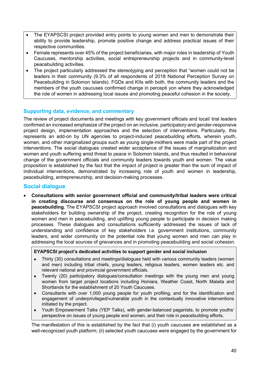- The EYAPSCSI project provided entry points to young women and men to demonstrate their ability to provide leadership, promote positive change and address practical issues of their respective communities.
- Female represents over 45% of the project beneficiaries, with major roles in leadership of Youth Caucuses, mentorship activities, social entrepreneurship projects and in community-level peacebuilding activities.
- The project particularly addressed the stereotyping and perception that "women could not be leaders in their community (9.3% of all respondents of 2018 National Perception Survey on Peacebuilding in Solomon Islands). FGDs and KIIs with both, the community leaders and the members of the youth caucuses confirmed change in percepti yon where they acknowledged the role of women in addressing local issues and promoting peaceful cohesion in the society.

#### **Supporting data, evidence, and commentary**

The review of project documents and meetings with key government officials and local/ trial leaders confirmed an increased emphasize of the project on an inclusive, participatory and gender-responsive project design, implementation approaches and the selection of interventions. Particularly, this represents an add-on by UN agencies to project-induced peacebuilding efforts, wherein youth, women, and other marginalized groups such as young single-mothers were made part of the project interventions. The social dialogues created wider acceptance of the issues of marginalization and women and youth suffering amid threat to peace in Solomon Islands, and thus resulted in behavioral change of the government officials and community leaders towards youth and women. The value proposition is established by the fact that the impact of project is greater than the sum of impact of individual interventions, demonstrated by increasing role of youth and women in leadership, peacebuilding, entrepreneurship, and decision-making processes.

### **Social dialogue**

• **Consultations with senior government official and community/tribal leaders were critical in creating discourse and consensus on the role of young people and women in peacebuilding.** The EYAPSCSI project approach involved consultations and dialogues with key stakeholders for building ownership of the project, creating recognition for the role of young women and men in peacebuilding, and uplifting young people to participate in decision making processes. These dialogues and consultations sufficiently addressed the issues of lack of understanding and confidence of key stakeholders i.e. government institutions, community leaders, and wider community on the potential role that young women and men can play in addressing the local sources of grievances and in promoting peacebuilding and social cohesion.

#### **EYAPSCSI project's dedicated activities to support gender and social inclusion**

- Thirty (30) consultations and meetings/dialogues held with various community leaders (women and men) including tribal chiefs, young leaders, religious leaders, women leaders etc. and relevant national and provincial government officials.
- Twenty (20) participatory dialogues/consultation meetings with the young men and young women from target project locations including Honiara, Weather Coast, North Malaita and Shortlands for the establishment of 20 Youth Caucuses.
- Consultants with over 1,000 young people for youth profiling, and for the identification and engagement of underprivileged/vulnerable youth in the contextually innovative interventions initiated by the project.
- Youth Empowerment Talks (YEP Talks), with gender-balanced paganists, to promote youths' perspective on issues of young people and women, and their role in peacebuilding efforts.

The manifestation of this is established by the fact that (i) youth caucuses are established as a well-recognized youth platform; (ii) selected youth caucuses were engaged by the government for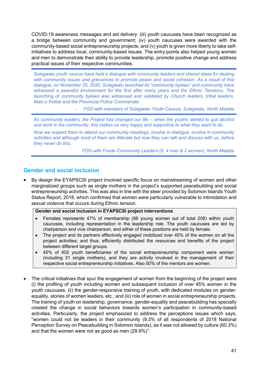COVID-19 awareness messages and aid delivery; (iii) youth caucuses have been recognized as a bridge between community and government; (iv) youth caucuses were awarded with the community-based social entrepreneurship projects; and (v) youth is given more liberty to take selfinitiatives to address local, community-based issues. The entry-points also helped young women and men to demonstrate their ability to provide leadership, promote positive change and address practical issues of their respective communities.

*Sulagwalu youth caucus have held a dialogue with community leaders and shared ideas for dealing with community issues and grievances to promote peace and social cohesion. As a result of this dialogue, on November 25, 2020, Sulagwalu launched its "community bylaws" and community have witnessed a peaceful environment for the first after many years and the Ethnic Tensions. The launching of community bylaws was witnessed and validated by Church leaders, tribal leaders, Malu'u Police and the Provincial Police Commander.* 

- *FGD with members of Sulagwalu Youth Caucus, Sulagwalu, North Malaita*

*As community leaders, the Project has changed our life – when the youths started to quit alcohol and work in the community, this makes us very happy and supportive to what they want to do.*

*Now we respect them to attend our community meetings, involve in dialogue, involve in community activities and although most of them are illiterate but now they can talk and discuss with us, before they never do this.*

*FDG with Foodo Community Leaders (6, 4 men & 2 women), North Malaita* 

### **Gender and social inclusion**

• By design the EYAPSCSI project involved specific focus on mainstreaming of women and other marginalized groups such as single mothers in the project's supported peacebuilding and social entrepreneurship activities. This was also in line with the steer provided by Solomon Islands Youth Status Report, 2018, which confirmed that women were particularly vulnerable to intimidation and sexual violence that occurs during Ethnic tension.

#### **Gender and social inclusion in EYAPSCSI project interventions**

- Females represents 47% of membership (98 young women out of total 208) within youth caucuses, including representation in the leadership role. The youth caucuses are led by chairperson and vice chairperson, and either of these positions are held by female.
- The project and its partners effectively engaged mobilized over 45% of the women on all the project activities; and thus, efficiently distributed the resources and benefits of the project between different target groups.
- 45% of 402 youth beneficiaries of the social entrepreneurship component were women (including 31 single mothers), and they are activity involved in the management of their respective social entrepreneurship initiatives. Also 50% of the mentors are women.
- The critical initiatives that spur the engagement of women from the beginning of the project were (i) the profiling of youth including women and subsequent inclusion of over 45% women in the youth caucuses, (ii) the gender-responsive training of youth, with dedicated modules on genderequality, stories of women leaders, etc.; and (iii) role of women in social entrepreneurship projects. The training of youth on leadership, governance, gender-equality and peacebuilding has specially created the change in social behaviors towards women's participation in community-based activities. Particularly, the project emphasized to address the perceptions issues which says, "women could not be leaders in their community (9.3% of all respondents of 2018 National Perception Survey on Peacebuilding in Solomon Islands), as it was not allowed by culture (60.3%) and that the women were not as good as men (29.9%)".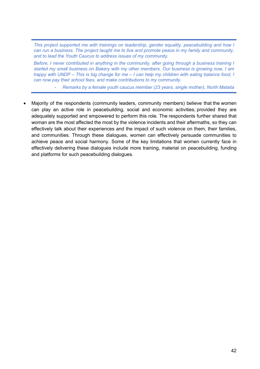*This project supported me with trainings on leadership, gender equality, peacebuilding and how I can run a business. The project taught me to live and promote peace in my family and community, and to lead the Youth Caucus to address issues of my community.* 

*Before, I never contributed in anything in the community, after going through a business training I started my small business on Bakery with my other members. Our business is growing now, I am happy with UNDP – This is big change for me – I can help my children with eating balance food, I can now pay their school fees, and make contributions to my community.* 

- *Remarks by a female youth caucus member (23 years, single mother), North Malaita*

• Majority of the respondents (community leaders, community members) believe that the women can play an active role in peacebuilding, social and economic activities; provided they are adequately supported and empowered to perform this role. The respondents further shared that woman are the most affected the most by the violence incidents and their aftermaths, so they can effectively talk about their experiences and the impact of such violence on them, their families, and communities. Through these dialogues, women can effectively persuade communities to achieve peace and social harmony. Some of the key limitations that women currently face in effectively delivering these dialogues include more training, material on peacebuilding, funding and platforms for such peacebuilding dialogues.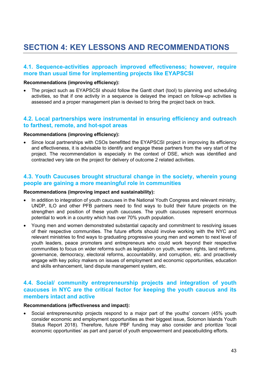## **SECTION 4: KEY LESSONS AND RECOMMENDATIONS**

### **4.1. Sequence-activities approach improved effectiveness; however, require more than usual time for implementing projects like EYAPSCSI**

#### **Recommendations (improving efficiency):**

assessed and a proper management plan is devised to bring the project back on track. • The project such as EYAPSCSI should follow the Gantt chart (tool) to planning and scheduling activities, so that if one activity in a sequence is delayed the impact on follow-up activities is

### **4.2. Local partnerships were instrumental in ensuring efficiency and outreach to farthest, remote, and hot-spot areas**

#### **Recommendations (improving efficiency):**

• Since local partnerships with CSOs benefitted the EYAPSCSI project in improving its efficiency and effectiveness, it is advisable to identify and engage these partners from the very start of the project. The recommendation is especially in the context of DSE, which was identified and contracted very late on the project for delivery of outcome 2 related activities.

### **4.3. Youth Caucuses brought structural change in the society, wherein young people are gaining a more meaningful role in communities**

#### **Recommendations (improving impact and sustainability):**

- In addition to integration of youth caucuses in the National Youth Congress and relevant ministry, UNDP, ILO and other PFB partners need to find ways to build their future projects on the strengthen and position of these youth caucuses. The youth caucuses represent enormous potential to work in a country which has over 70% youth population.
- Young men and women demonstrated substantial capacity and commitment to resolving issues of their respective communities. The future efforts should involve working with the NYC and relevant ministries to find ways to graduating progressive young men and women to next level of youth leaders, peace promoters and entrepreneurs who could work beyond their respective communities to focus on wider reforms such as legislation on youth, women rights, land reforms, governance, democracy, electoral reforms, accountability, and corruption, etc. and proactively engage with key policy makers on issues of employment and economic opportunities, education and skills enhancement, land dispute management system, etc.

#### **4.4. Social/ community entrepreneurship projects and integration of youth caucuses in NYC are the critical factor for keeping the youth caucus and its members intact and active**

#### **Recommendations (effectiveness and impact):**

• Social entrepreneurship projects respond to a major part of the youths' concern (45% youth consider economic and employment opportunities as their biggest issue, Solomon Islands Youth Status Report 2018). Therefore, future PBF funding may also consider and prioritize 'local economic opportunities' as part and parcel of youth empowerment and peacebuilding efforts.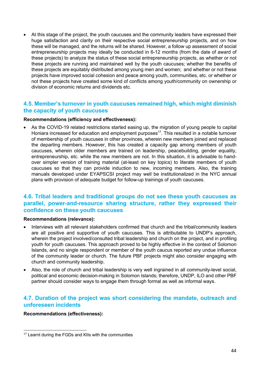• At this stage of the project, the youth caucuses and the community leaders have expressed their huge satisfaction and clarity on their respective social entrepreneurship projects, and on how these will be managed, and the returns will be shared. However, a follow up assessment of social entrepreneurship projects may ideally be conducted in 6-12 months (from the date of award of these projects) to analyze the status of these social entrepreneurship projects, as whether or not these projects are running and maintained well by the youth caucuses; whether the benefits of these projects are equitably distributed among young men and women; and whether or not these projects have improved social cohesion and peace among youth, communities, etc. or whether or not these projects have created some kind of conflicts among youth/community on ownership or division of economic returns and dividends etc.

## **4.5. Member's turnover in youth caucuses remained high, which might diminish the capacity of youth caucuses**

#### **Recommendations (efficiency and effectiveness):**

As the COVID-19 related restrictions started easing up, the migration of young people to capital Honiara increased for education and employment purposes<sup>17</sup>. This resulted in a notable turnover of membership of youth caucuses in other provinces, wherein new members joined and replaced the departing members. However, this has created a capacity gap among members of youth caucuses, wherein older members are trained on leadership, peacebuilding, gender equality, entrepreneurship, etc. while the new members are not. In this situation, it is advisable to handover simpler version of training material (at-least on key topics) to literate members of youth caucuses so that they can provide induction to new, incoming members. Also, the training manuals developed under EYAPSCSI project may well be institutionalized in the NYC annual plans with provision of adequate budget for follow-up trainings of youth caucuses.

## **4.6. Tribal leaders and traditional groups do not see these youth caucuses as parallel, power-and-resource sharing structure, rather they expressed their confidence on these youth caucuses**

#### **Recommendations (relevance):**

- Interviews with all relevant stakeholders confirmed that church and the tribal/community leaders are all positive and supportive of youth caucuses. This is attributable to UNDP's approach, wherein the project involved/consulted tribal leadership and church on the project, and in profiling youth for youth caucuses. This approach proved to be highly effective in the context of Solomon Islands, and no single respondent or member of the youth caucus reported any undue influence of the community leader or church. The future PBF projects might also consider engaging with church and community leadership.
- Also, the role of church and tribal leadership is very well ingrained in all community-level social, political and economic decision-making in Solomon Islands; therefore, UNDP, ILO and other PBF partner should consider ways to engage them through formal as well as informal ways.

## **4.7. Duration of the project was short considering the mandate, outreach and unforeseen incidents**

#### **Recommendations (effectiveness):**

<sup>&</sup>lt;sup>17</sup> Learnt during the FGDs and KIIs with the communities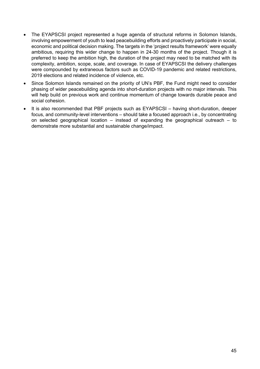- The EYAPSCSI project represented a huge agenda of structural reforms in Solomon Islands, involving empowerment of youth to lead peacebuilding efforts and proactively participate in social, economic and political decision making. The targets in the 'project results framework' were equally ambitious, requiring this wider change to happen in 24-30 months of the project. Though it is preferred to keep the ambition high, the duration of the project may need to be matched with its complexity, ambition, scope, scale, and coverage. In case of EYAPSCSI the delivery challenges were compounded by extraneous factors such as COVID-19 pandemic and related restrictions, 2019 elections and related incidence of violence, etc.
- Since Solomon Islands remained on the priority of UN's PBF, the Fund might need to consider phasing of wider peacebuilding agenda into short-duration projects with no major intervals. This will help build on previous work and continue momentum of change towards durable peace and social cohesion.
- It is also recommended that PBF projects such as EYAPSCSI having short-duration, deeper focus, and community-level interventions – should take a focused approach i.e., by concentrating on selected geographical location – instead of expanding the geographical outreach – to demonstrate more substantial and sustainable change/impact.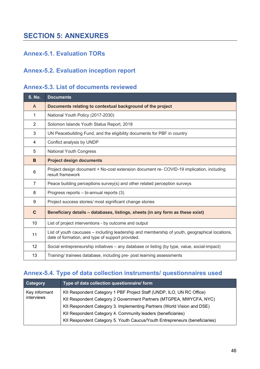## **SECTION 5: ANNEXURES**

## **Annex-5.1. Evaluation TORs**

## **Annex-5.2. Evaluation inception report**

## **Annex-5.3. List of documents reviewed**

| <b>S. No.</b>  | <b>Documents</b>                                                                                                                                   |
|----------------|----------------------------------------------------------------------------------------------------------------------------------------------------|
| A              | Documents relating to contextual background of the project                                                                                         |
| 1              | National Youth Policy (2017-2030)                                                                                                                  |
| 2              | Solomon Islands Youth Status Report, 2018                                                                                                          |
| 3              | UN Peacebuilding Fund, and the eligibility documents for PBF in country                                                                            |
| 4              | Conflict analysis by UNDP                                                                                                                          |
| 5              | <b>National Youth Congress</b>                                                                                                                     |
| B              | <b>Project design documents</b>                                                                                                                    |
| 6              | Project design document + No-cost extension document re- COVID-19 implication, including<br>result framework                                       |
| $\overline{7}$ | Peace building perceptions survey(s) and other related perception surveys                                                                          |
| 8              | Progress reports - bi-annual reports (3)                                                                                                           |
| 9              | Project success stories/ most significant change stories                                                                                           |
| $\mathbf{C}$   | Beneficiary details - databases, listings, sheets (in any form as these exist)                                                                     |
| 10             | List of project interventions - by outcome and output                                                                                              |
| 11             | List of youth caucuses – including leadership and membership of youth, geographical locations,<br>date of formation, and type of support provided. |
| 12             | Social entrepreneurship initiatives - any database or listing (by type, value, social-impact)                                                      |
| 13             | Training/ trainees database, including pre- post learning assessments                                                                              |

## **Annex-5.4. Type of data collection instruments/ questionnaires used**

| Category      | Type of data collection questionnaire/ form                                 |
|---------------|-----------------------------------------------------------------------------|
| Key informant | KII Respondent Category 1 PBF Project Staff (UNDP, ILO, UN RC Office)       |
| interviews    | KII Respondent Category 2 Government Partners (MTGPEA, MWYCFA, NYC)         |
|               | KII Respondent Category 3. Implementing Partners (World Vision and DSE)     |
|               | KII Respondent Category 4. Community leaders (beneficiaries)                |
|               | KII Respondent Category 5. Youth Caucus/Youth Entrepreneurs (beneficiaries) |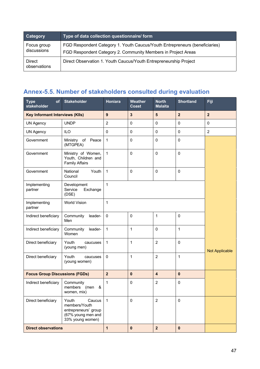| <b>Category</b>               | Type of data collection questionnaire/ form                                                                                                  |
|-------------------------------|----------------------------------------------------------------------------------------------------------------------------------------------|
| Focus group<br>discussions    | FGD Respondent Category 1. Youth Caucus/Youth Entrepreneurs (beneficiaries)<br>FGD Respondent Category 2. Community Members in Project Areas |
| <b>Direct</b><br>observations | Direct Observation 1. Youth Caucus/Youth Entrepreneurship Project                                                                            |

## **Annex-5.5. Number of stakeholders consulted during evaluation**

| <b>Type</b><br>of<br>stakeholder       | <b>Stakeholder</b>                                                                                 | Honiara          | <b>Weather</b><br><b>Coast</b> | <b>North</b><br><b>Malaita</b> | <b>Shortland</b> | Fiji                  |  |
|----------------------------------------|----------------------------------------------------------------------------------------------------|------------------|--------------------------------|--------------------------------|------------------|-----------------------|--|
| <b>Key Informant Interviews (KIIs)</b> |                                                                                                    | $\boldsymbol{9}$ | $\overline{\mathbf{3}}$        | $5\phantom{1}$                 | $\overline{2}$   | $\overline{2}$        |  |
| <b>UN Agency</b>                       | <b>UNDP</b>                                                                                        | $\overline{2}$   | $\mathbf 0$                    | 0                              | $\mathbf 0$      | $\mathbf 0$           |  |
| <b>UN Agency</b>                       | <b>ILO</b>                                                                                         | $\Omega$         | $\pmb{0}$                      | 0                              | $\mathbf 0$      | $\overline{2}$        |  |
| Government                             | Ministry of Peace<br>(MTGPEA)                                                                      | $\mathbf{1}$     | $\mathbf 0$                    | $\mathbf 0$                    | $\mathbf 0$      |                       |  |
| Government                             | Ministry of Women,<br>Youth, Children and<br><b>Family Affairs</b>                                 | $\mathbf{1}$     | $\mathbf 0$                    | $\mathbf 0$                    | $\mathbf 0$      |                       |  |
| Government                             | National<br>Youth<br>Council                                                                       | $\mathbf{1}$     | $\mathbf 0$                    | $\pmb{0}$                      | $\mathbf 0$      |                       |  |
| Implementing<br>partner                | Development<br>Service<br>Exchange<br>(DSE)                                                        | $\mathbf{1}$     |                                |                                |                  |                       |  |
| Implementing<br>partner                | <b>World Vision</b>                                                                                | $\mathbf{1}$     |                                |                                |                  |                       |  |
| Indirect beneficiary                   | Community<br>leader-<br>Men                                                                        | $\Omega$         | $\mathbf 0$                    | $\mathbf 1$                    | $\mathbf 0$      |                       |  |
| Indirect beneficiary                   | Community<br>leader-<br>Women                                                                      | 1                | 1                              | $\mathbf 0$                    | $\mathbf{1}$     |                       |  |
| Direct beneficiary                     | Youth<br>caucuses<br>(young men)                                                                   | 1                | $\mathbf{1}$                   | $\overline{2}$                 | $\mathbf 0$      | <b>Not Applicable</b> |  |
| Direct beneficiary                     | Youth<br>caucuses<br>(young women)                                                                 | 0                | 1                              | $\overline{2}$                 | $\mathbf{1}$     |                       |  |
| <b>Focus Group Discussions (FGDs)</b>  |                                                                                                    | $\overline{2}$   | $\mathbf 0$                    | $\overline{\mathbf{4}}$        | $\mathbf 0$      |                       |  |
| Indirect beneficiary                   | Community<br>members<br>(men<br>&<br>women, mix)                                                   | 1                | $\mathbf 0$                    | $\overline{2}$                 | $\mathbf 0$      |                       |  |
| Direct beneficiary                     | Youth<br>Caucus<br>members/Youth<br>entrepreneurs' group<br>(67% young men and<br>33% young women) | $\mathbf{1}$     | $\mathbf 0$                    | $\overline{2}$                 | $\mathbf 0$      |                       |  |
| <b>Direct observations</b>             |                                                                                                    | $\mathbf{1}$     | $\pmb{0}$                      | $\overline{\mathbf{2}}$        | $\bf{0}$         |                       |  |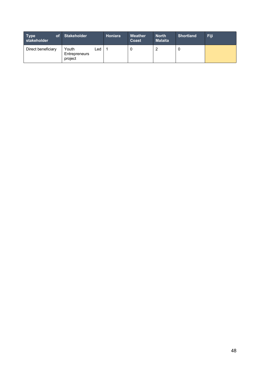| <b>of</b><br>Type<br>stakeholder | <b>Stakeholder</b>                       | Honiara | <b>Weather</b><br>Coast | <b>North</b><br><b>Malaita</b> | <b>Shortland</b> | Fiji |
|----------------------------------|------------------------------------------|---------|-------------------------|--------------------------------|------------------|------|
| Direct beneficiary               | Youth<br>Led<br>Entrepreneurs<br>project |         |                         |                                | U                |      |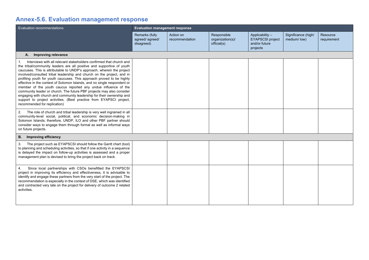## **Annex-5.6. Evaluation management response**

| Evaluation recommendations                                                                                                                                                                                                                                                                                                                                                                                                                                                                                                                                                                                                                                                                                                                                                             | <b>Evaluation management response</b>          |                             |                                                |                                                                        |                                     |                         |  |
|----------------------------------------------------------------------------------------------------------------------------------------------------------------------------------------------------------------------------------------------------------------------------------------------------------------------------------------------------------------------------------------------------------------------------------------------------------------------------------------------------------------------------------------------------------------------------------------------------------------------------------------------------------------------------------------------------------------------------------------------------------------------------------------|------------------------------------------------|-----------------------------|------------------------------------------------|------------------------------------------------------------------------|-------------------------------------|-------------------------|--|
|                                                                                                                                                                                                                                                                                                                                                                                                                                                                                                                                                                                                                                                                                                                                                                                        | Remarks (fully<br>agreed/agreed/<br>disagreed) | Action on<br>recommendation | Responsible<br>organization(s)/<br>official(s) | Applicability-<br><b>EYAPSCSI</b> project<br>and/or future<br>projects | Significance (high/<br>medium/ low) | Resource<br>requirement |  |
| <b>Improving relevance</b><br>А.                                                                                                                                                                                                                                                                                                                                                                                                                                                                                                                                                                                                                                                                                                                                                       |                                                |                             |                                                |                                                                        |                                     |                         |  |
| Interviews with all relevant stakeholders confirmed that church and<br>1.<br>the tribal/community leaders are all positive and supportive of youth<br>caucuses. This is attributable to UNDP's approach, wherein the project<br>involved/consulted tribal leadership and church on the project, and in<br>profiling youth for youth caucuses. This approach proved to be highly<br>effective in the context of Solomon Islands, and no single respondent or<br>member of the youth caucus reported any undue influence of the<br>community leader or church. The future PBF projects may also consider<br>engaging with church and community leadership for their ownership and<br>support to project activities. (Best practice from EYAPSCI project,<br>recommended for replication) |                                                |                             |                                                |                                                                        |                                     |                         |  |
| 2.<br>The role of church and tribal leadership is very well ingrained in all<br>community-level social, political, and economic decision-making in<br>Solomon Islands; therefore, UNDP, ILO and other PBF partner should<br>consider ways to engage them through formal as well as informal ways<br>on future projects.                                                                                                                                                                                                                                                                                                                                                                                                                                                                |                                                |                             |                                                |                                                                        |                                     |                         |  |
| <b>B.</b><br>Improving efficiency                                                                                                                                                                                                                                                                                                                                                                                                                                                                                                                                                                                                                                                                                                                                                      |                                                |                             |                                                |                                                                        |                                     |                         |  |
| The project such as EYAPSCSI should follow the Gantt chart (tool)<br>3.<br>to planning and scheduling activities, so that if one activity in a sequence<br>is delayed the impact on follow-up activities is assessed and a proper<br>management plan is devised to bring the project back on track.                                                                                                                                                                                                                                                                                                                                                                                                                                                                                    |                                                |                             |                                                |                                                                        |                                     |                         |  |
| Since local partnerships with CSOs benefitted the EYAPSCSI<br>4.<br>project in improving its efficiency and effectiveness, it is advisable to<br>identify and engage these partners from the very start of the project. The<br>recommendation is especially in the context of DSE, which was identified<br>and contracted very late on the project for delivery of outcome 2 related<br>activities.                                                                                                                                                                                                                                                                                                                                                                                    |                                                |                             |                                                |                                                                        |                                     |                         |  |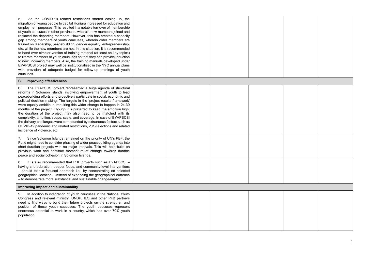| As the COVID-19 related restrictions started easing up, the<br>migration of young people to capital Honiara increased for education and<br>employment purposes. This resulted in a notable turnover of membership<br>of youth caucuses in other provinces, wherein new members joined and<br>replaced the departing members. However, this has created a capacity<br>gap among members of youth caucuses, wherein older members are<br>trained on leadership, peacebuilding, gender equality, entrepreneurship,<br>etc. while the new members are not. In this situation, it is recommended<br>to hand-over simpler version of training material (at-least on key topics)<br>to literate members of youth caucuses so that they can provide induction<br>to new, incoming members. Also, the training manuals developed under<br>EYAPSCSI project may well be institutionalized in the NYC annual plans<br>with provision of adequate budget for follow-up trainings of youth<br>caucuses. |  |  |  |
|--------------------------------------------------------------------------------------------------------------------------------------------------------------------------------------------------------------------------------------------------------------------------------------------------------------------------------------------------------------------------------------------------------------------------------------------------------------------------------------------------------------------------------------------------------------------------------------------------------------------------------------------------------------------------------------------------------------------------------------------------------------------------------------------------------------------------------------------------------------------------------------------------------------------------------------------------------------------------------------------|--|--|--|
| C.<br><b>Improving effectiveness</b>                                                                                                                                                                                                                                                                                                                                                                                                                                                                                                                                                                                                                                                                                                                                                                                                                                                                                                                                                       |  |  |  |
| 6.<br>The EYAPSCSI project represented a huge agenda of structural<br>reforms in Solomon Islands, involving empowerment of youth to lead<br>peacebuilding efforts and proactively participate in social, economic and<br>political decision making. The targets in the 'project results framework'<br>were equally ambitious, requiring this wider change to happen in 24-30<br>months of the project. Though it is preferred to keep the ambition high,<br>the duration of the project may also need to be matched with its<br>complexity, ambition, scope, scale, and coverage. In case of EYAPSCSI<br>the delivery challenges were compounded by extraneous factors such as<br>COVID-19 pandemic and related restrictions, 2019 elections and related<br>incidence of violence, etc.                                                                                                                                                                                                    |  |  |  |
| Since Solomon Islands remained on the priority of UN's PBF, the<br>7.<br>Fund might need to consider phasing of wider peacebuilding agenda into<br>short-duration projects with no major intervals. This will help build on<br>previous work and continue momentum of change towards durable<br>peace and social cohesion in Solomon Islands.                                                                                                                                                                                                                                                                                                                                                                                                                                                                                                                                                                                                                                              |  |  |  |
| 8.<br>It is also recommended that PBF projects such as EYAPSCSI -<br>having short-duration, deeper focus, and community-level interventions<br>- should take a focused approach i.e., by concentrating on selected<br>geographical location – instead of expanding the geographical outreach<br>- to demonstrate more substantial and sustainable change/impact.                                                                                                                                                                                                                                                                                                                                                                                                                                                                                                                                                                                                                           |  |  |  |
| Improving impact and sustainability                                                                                                                                                                                                                                                                                                                                                                                                                                                                                                                                                                                                                                                                                                                                                                                                                                                                                                                                                        |  |  |  |
| In addition to integration of youth caucuses in the National Youth<br>9.<br>Congress and relevant ministry, UNDP, ILO and other PFB partners<br>need to find ways to build their future projects on the strengthen and<br>position of these youth caucuses. The youth caucuses represent<br>enormous potential to work in a country which has over 70% youth<br>population.                                                                                                                                                                                                                                                                                                                                                                                                                                                                                                                                                                                                                |  |  |  |